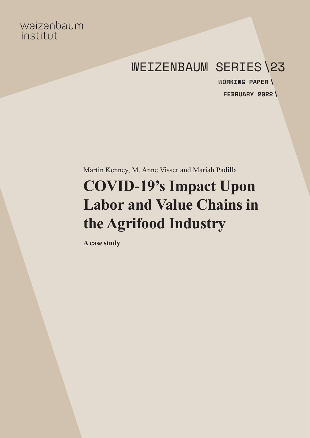# weizenbaum institut

# WEIZENBAUM SERIES\23

**FEBRUARY 2022 \WORKING PAPER \**

Martin Kenney, M. Anne Visser and Mariah Padilla

# **COVID-19's Impact Upon Labor and Value Chains in the Agrifood Industry**

**A case study**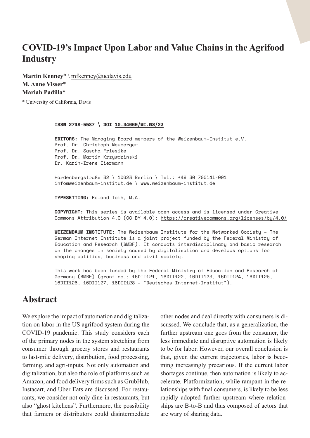# **COVID-19's Impact Upon Labor and Value Chains in the Agrifood Industry**

**Martin Kenney**\* \ [mfkenney@ucdavis.edu](mailto:mfkenney@ucdavis.edu) **M. Anne Visser**\* **Mariah Padilla**\*

\* University of California, Davis

**ISSN 2748-5587 \ DOI [10.34669/WI.WS/23](https://doi.org/10.34669/WI.WS/23)**

**EDITORS:** The Managing Board members of the Weizenbaum-Institut e.V. Prof. Dr. Christoph Neuberger Prof. Dr. Sascha Friesike Prof. Dr. Martin Krzywdzinski Dr. Karin-Irene Eiermann

Hardenbergstraße 32 \ 10623 Berlin \ Tel.: +49 30 700141-001 [info@weizenbaum-institut.de](mailto:info%40weizenbaum-institut.de?subject=) \ [www.weizenbaum-institut.de](http://www.weizenbaum-institut.de)

**TYPESETTING:** Roland Toth, M.A.

**COPYRIGHT:** This series is available open access and is licensed under Creative Commons Attribution 4.0 (CC BY 4.0): <https://creativecommons.org/licenses/by/4.0/>

**WEIZENBAUM INSTITUTE:** The Weizenbaum Institute for the Networked Society – The German Internet Institute is a joint project funded by the Federal Ministry of Education and Research (BMBF). It conducts interdisciplinary and basic research on the changes in society caused by digitalisation and develops options for shaping politics, business and civil society.

This work has been funded by the Federal Ministry of Education and Research of Germany (BMBF) (grant no.: 16DII121, 16DII122, 16DII123, 16DII124, 16DII125, 16DII126, 16DII127, 16DII128 – "Deutsches Internet-Institut").

# **Abstract**

We explore the impact of automation and digitalization on labor in the US agrifood system during the COVID-19 pandemic. This study considers each of the primary nodes in the system stretching from consumer through grocery stores and restaurants to last-mile delivery, distribution, food processing, farming, and agri-inputs. Not only automation and digitalization, but also the role of platforms such as Amazon, and food delivery firms such as GrubHub, Instacart, and Uber Eats are discussed. For restaurants, we consider not only dine-in restaurants, but also "ghost kitchens". Furthermore, the possibility that farmers or distributors could disintermediate other nodes and deal directly with consumers is discussed. We conclude that, as a generalization, the further upstream one goes from the consumer, the less immediate and disruptive automation is likely to be for labor. However, our overall conclusion is that, given the current trajectories, labor is becoming increasingly precarious. If the current labor shortages continue, then automation is likely to accelerate. Platformization, while rampant in the relationships with final consumers, is likely to be less rapidly adopted further upstream where relationships are B-to-B and thus composed of actors that are wary of sharing data.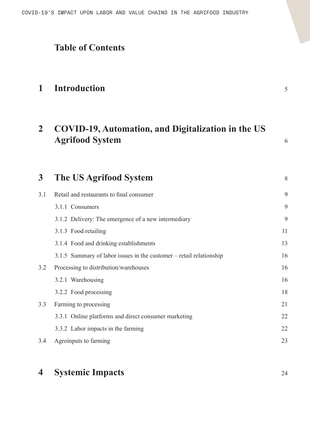# **Table of Contents**

# **1 [Introduction](#page-4-0)** <sup>5</sup>

# **2 [COVID-19, Automation, and Digitalization in the US](#page-5-0)  [Agrifood System](#page-5-0)** <sup>6</sup>

**3 [The US Agrifood System](#page-7-0)** <sup>8</sup> 3.1 [Retail and restaurants to final consumer](#page-8-0) 9 3.1.1 [Consumers 9](#page-8-0) 3.1.2 [Delivery: The emergence of a new intermediary 9](#page-8-0) 3.1.3 [Food retailing 11](#page-10-0) 3.1.4 [Food and drinking establishments 13](#page-12-0) 3.1.5 [Summary of labor issues in the customer – retail relationship 16](#page-15-0) 3.2 [Processing to distribution/warehouses 16](#page-15-0) 3.2.1 [Warehousing 16](#page-15-0) 3.2.2 [Food processing 18](#page-17-0) 3.3 [Farming to processing 21](#page-20-0) 3.3.1 [Online platforms and direct consumer marketing 22](#page-21-0) 3.3.2 [Labor impacts in the farming 22](#page-21-0) 3.4 [Agroinputs to farming 23](#page-22-0)

# **4 [Systemic Impacts](#page-23-0)** <sup>24</sup>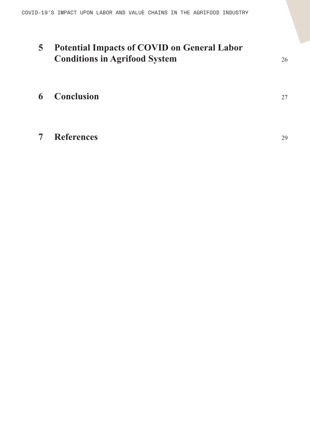# **5 [Potential Impacts of COVID on General Labor](#page-25-0)  [Conditions in Agrifood System](#page-25-0)** <sup>26</sup>

# **6 [Conclusion](#page-26-0)** <sup>27</sup>

**7 [References](#page-28-0)** <sup>29</sup>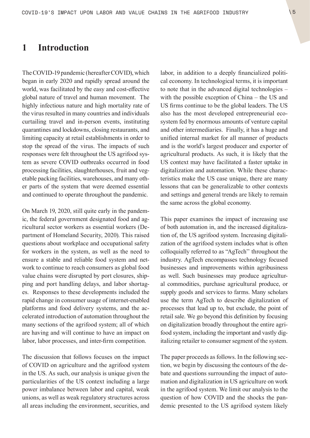## <span id="page-4-0"></span>**1 Introduction**

The COVID-19 pandemic (hereafter COVID), which began in early 2020 and rapidly spread around the world, was facilitated by the easy and cost-effective global nature of travel and human movement. The highly infectious nature and high mortality rate of the virus resulted in many countries and individuals curtailing travel and in-person events, instituting quarantines and lockdowns, closing restaurants, and limiting capacity at retail establishments in order to stop the spread of the virus. The impacts of such responses were felt throughout the US agrifood system as severe COVID outbreaks occurred in food processing facilities, slaughterhouses, fruit and vegetable packing facilities, warehouses, and many other parts of the system that were deemed essential and continued to operate throughout the pandemic.

On March 19, 2020, still quite early in the pandemic, the federal government designated food and agricultural sector workers as [essential](https://www.cisa.gov/identifying-critical-infrastructure-during-covid-19) workers (Department of Homeland Security, 2020). This raised questions about workplace and occupational safety for workers in the system, as well as the need to ensure a stable and reliable food system and network to continue to reach consumers as global food value chains were disrupted by port closures, shipping and port handling delays, and labor shortages. Responses to these developments included the rapid change in consumer usage of internet-enabled platforms and food delivery systems, and the accelerated introduction of automation throughout the many sections of the agrifood system; all of which are having and will continue to have an impact on labor, labor processes, and inter-firm competition.

The discussion that follows focuses on the impact of COVID on agriculture and the agrifood system in the US. As such, our analysis is unique given the particularities of the US context including a large power imbalance between labor and capital, weak unions, as well as weak regulatory structures across all areas including the environment, securities, and labor, in addition to a deeply financialized political economy. In technological terms, it is important to note that in the advanced digital technologies – with the possible exception of China – the US and US firms continue to be the global leaders. The US also has the most developed entrepreneurial ecosystem fed by enormous amounts of venture capital and other intermediaries. Finally, it has a huge and unified internal market for all manner of products and is the world's largest producer and exporter of agricultural products. As such, it is likely that the US context may have facilitated a faster uptake in digitalization and automation. While these characteristics make the US case unique, there are many lessons that can be generalizable to other contexts and settings and general trends are likely to remain the same across the global economy.

This paper examines the impact of increasing use of both automation in, and the increased digitalization of, the US agrifood system. Increasing digitalization of the agrifood system includes what is often colloquially referred to as "AgTech'' throughout the industry. AgTech encompasses technology focused businesses and improvements within agribusiness as well. Such businesses may produce agricultural commodities, purchase agricultural produce, or supply goods and services to farms. Many scholars use the term AgTech to describe digitalization of processes that lead up to, but exclude, the point of retail sale. We go beyond this definition by focusing on digitalization broadly throughout the entire agrifood system, including the important and vastly digitalizing retailer to consumer segment of the system.

The paper proceeds as follows. In the following section, we begin by discussing the contours of the debate and questions surrounding the impact of automation and digitalization in US agriculture on work in the agrifood system. We limit our analysis to the question of how COVID and the shocks the pandemic presented to the US agrifood system likely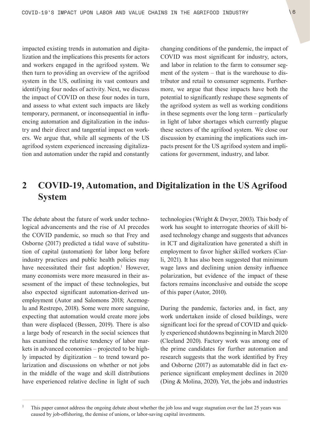<span id="page-5-0"></span>impacted existing trends in automation and digitalization and the implications this presents for actors and workers engaged in the agrifood system. We then turn to providing an overview of the agrifood system in the US, outlining its vast contours and identifying four nodes of activity. Next, we discuss the impact of COVID on these four nodes in turn, and assess to what extent such impacts are likely temporary, permanent, or inconsequential in influencing automation and digitalization in the industry and their direct and tangential impact on workers. We argue that, while all segments of the US agrifood system experienced increasing digitalization and automation under the rapid and constantly changing conditions of the pandemic, the impact of COVID was most significant for industry, actors, and labor in relation to the farm to consumer segment of the system – that is the warehouse to distributor and retail to consumer segments. Furthermore, we argue that these impacts have both the potential to significantly reshape these segments of the agrifood system as well as working conditions in these segments over the long term – particularly in light of labor shortages which currently plague these sectors of the agrifood system. We close our discussion by examining the implications such impacts present for the US agrifood system and implications for government, industry, and labor.

# **2 COVID-19, Automation, and Digitalization in the US Agrifood System**

The debate about the future of work under technological advancements and the rise of AI precedes the COVID pandemic, so much so that Frey and Osborne (2017) predicted a tidal wave of substitution of capital (automation) for labor long before industry practices and public health policies may have necessitated their fast adoption.<sup>1</sup> However, many economists were more measured in their assessment of the impact of these technologies, but also expected significant automation-derived unemployment (Autor and Salomons 2018; Acemoglu and Restrepo, 2018). Some were more sanguine, expecting that automation would create more jobs than were displaced (Bessen, 2019). There is also a large body of research in the social sciences that has examined the relative tendency of labor markets in advanced economies – projected to be highly impacted by digitization – to trend toward polarization and discussions on whether or not jobs in the middle of the wage and skill distributions have experienced relative decline in light of such

technologies (Wright & Dwyer, 2003). This body of work has sought to interrogate theories of skill biased technology change and suggests that advances in ICT and digitalization have generated a shift in employment to favor higher skilled workers (Ciarli, 2021). It has also been suggested that minimum wage laws and declining union density influence polarization, but evidence of the impact of these factors remains inconclusive and outside the scope of this paper (Autor, 2010).

During the pandemic, factories and, in fact, any work undertaken inside of closed buildings, were significant loci for the spread of COVID and quickly experienced shutdowns beginning in March 2020 (Cleeland 2020). Factory work was among one of the prime candidates for further automation and research suggests that the work identified by Frey and Osborne (2017) as automatable did in fact experience significant employment declines in 2020 (Ding & Molina, 2020). Yet, the jobs and industries

This paper cannot address the ongoing debate about whether the job loss and wage stagnation over the last 25 years was caused by job-offshoring, the demise of unions, or labor-saving capital investments.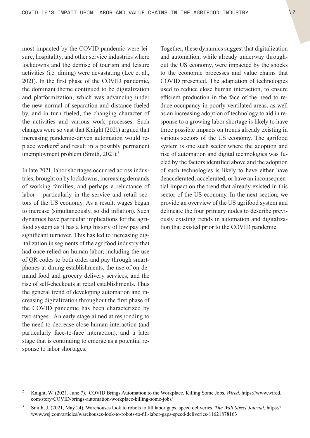most impacted by the COVID pandemic were leisure, hospitality, and other service industries where lockdowns and the demise of tourism and leisure activities (i.e. dining) were devastating (Lee et al., 2021). In the first phase of the COVID pandemic, the dominant theme continued to be digitalization and platformization, which was advancing under the new normal of separation and distance fueled by, and in turn fueled, the changing character of the activities and various work processes. Such changes were so vast that Knight (2021) argued that increasing pandemic-driven automation would replace workers<sup>2</sup> and result in a possibly permanent unemployment problem (Smith, 2021).<sup>3</sup>

In late 2021, labor shortages occurred across industries, brought on by lockdowns, increasing demands of working families, and perhaps a reluctance of labor – particularly in the service and retail sectors of the US economy. As a result, wages began to increase (simultaneously, so did inflation). Such dynamics have particular implications for the agrifood system as it has a long history of low pay and significant turnover. This has led to increasing digitalization in segments of the agrifood industry that had once relied on human labor, including the use of QR codes to both order and pay through smartphones at dining establishments, the use of on-demand food and grocery delivery services, and the rise of self-checkouts at retail establishments. Thus the general trend of developing automation and increasing digitalization throughout the first phase of the COVID pandemic has been characterized by two stages. An early stage aimed at responding to the need to decrease close human interaction (and particularly face-to-face interaction), and a later stage that is continuing to emerge as a potential response to labor shortages.

Together, these dynamics suggest that digitalization and automation, while already underway throughout the US economy, were impacted by the shocks to the economic processes and value chains that COVID presented. The adaptation of technologies used to reduce close human interaction, to ensure efficient production in the face of the need to reduce occupancy in poorly ventilated areas, as well as an increasing adoption of technology to aid in response to a growing labor shortage is likely to have three possible impacts on trends already existing in various sectors of the US economy. The agrifood system is one such sector where the adoption and rise of automation and digital technologies was fueled by the factors identified above and the adoption of such technologies is likely to have either have deaccelerated, accelerated, or have an inconsequential impact on the trend that already existed in this sector of the US economy. In the next section, we provide an overview of the US agrifood system and delineate the four primary nodes to describe previously existing trends in automation and digitalization that existed prior to the COVID pandemic.

<sup>2</sup> Knight, W. (2021, June 7). COVID Brings Automation to the Workplace, Killing Some Jobs. *Wired.* [https://www.wired.](https://www.wired.com/story/COVID-brings-automation-workplace-killing-some-jobs/) [com/story/COVID-brings-automation-workplace-killing-some-jobs/](https://www.wired.com/story/COVID-brings-automation-workplace-killing-some-jobs/)

<sup>3</sup> Smith, J. (2021, May 24). Warehouses look to robots to fill labor gaps, speed deliveries. *The Wall Street Journal*. [https://](https://www.wsj.com/articles/warehouses-look-to-robots-to-fill-labor-gaps-speed-deliveries-11621878163) [www.wsj.com/articles/warehouses-look-to-robots-to-fill-labor-gaps-speed-deliveries-11621878163](https://www.wsj.com/articles/warehouses-look-to-robots-to-fill-labor-gaps-speed-deliveries-11621878163)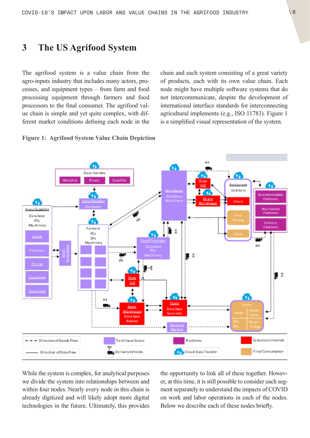# <span id="page-7-0"></span>**3 The US Agrifood System**

The agrifood system is a value chain from the agro-inputs industry that includes many actors, processes, and equipment types – from farm and food processing equipment through farmers and food processors to the final consumer. The agrifood value chain is simple and yet quite complex, with different market conditions defining each node in the chain and each system consisting of a great variety of products, each with its own value chain. Each node might have multiple software systems that do not intercommunicate, despite the development of international interface standards for interconnecting agricultural implements (e.g., ISO 11783). Figure 1 is a simplified visual representation of the system.

**Figure 1: Agrifood System Value Chain Depiction**



While the system is complex, for analytical purposes we divide the system into relationships between and within four nodes. Nearly every node in this chain is already digitized and will likely adopt more digital technologies in the future. Ultimately, this provides the opportunity to link all of these together. However, at this time, it is still possible to consider each segment separately to understand the impacts of COVID on work and labor operations in each of the nodes. Below we describe each of these nodes briefly.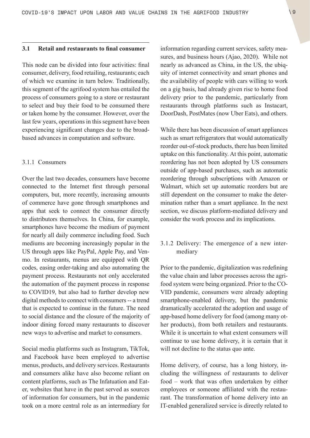#### <span id="page-8-0"></span>**3.1 Retail and restaurants to final consumer**

This node can be divided into four activities: final consumer, delivery, food retailing, restaurants; each of which we examine in turn below. Traditionally, this segment of the agrifood system has entailed the process of consumers going to a store or restaurant to select and buy their food to be consumed there or taken home by the consumer. However, over the last few years, operations in this segment have been experiencing significant changes due to the broadbased advances in computation and software.

### 3.1.1 Consumers

Over the last two decades, consumers have become connected to the Internet first through personal computers, but, more recently, increasing amounts of commerce have gone through smartphones and apps that seek to connect the consumer directly to distributors themselves. In China, for example, smartphones have become the medium of payment for nearly all daily commerce including food. Such mediums are becoming increasingly popular in the US through apps like PayPal, Apple Pay, and Venmo. In restaurants, menus are equipped with QR codes, easing order-taking and also automating the payment process. Restaurants not only accelerated the automation of the payment process in response to COVID19, but also had to further develop new digital methods to connect with consumers -- a trend that is expected to continue in the future. The need to social distance and the closure of the majority of indoor dining forced many restaurants to discover new ways to advertise and market to consumers.

Social media platforms such as Instagram, TikTok, and Facebook have been employed to advertise menus, products, and delivery services. Restaurants and consumers alike have also become reliant on content platforms, such as The Infatuation and Eater, websites that have in the past served as sources of information for consumers, but in the pandemic took on a more central role as an intermediary for information regarding current services, safety measures, and business hours (Ajao, 2020). While not nearly as advanced as China, in the US, the ubiquity of internet connectivity and smart phones and the availability of people with cars willing to work on a gig basis, had already given rise to home food delivery prior to the pandemic, particularly from restaurants through platforms such as Instacart, DoorDash, PostMates (now Uber Eats), and others.

While there has been discussion of smart appliances such as smart refrigerators that would automatically reorder out-of-stock products, there has been limited uptake on this functionality. At this point, automatic reordering has not been adopted by US consumers outside of app-based purchases, such as automatic reordering through subscriptions with Amazon or Walmart, which set up automatic reorders but are still dependent on the consumer to make the determination rather than a smart appliance. In the next section, we discuss platform-mediated delivery and consider the work process and its implications.

### 3.1.2 Delivery: The emergence of a new intermediary

Prior to the pandemic, digitalization was redefining the value chain and labor processes across the agrifood system were being organized. Prior to the CO-VID pandemic, consumers were already adopting smartphone-enabled delivery, but the pandemic dramatically accelerated the adoption and usage of app-based home delivery for food (among many other products), from both retailers and restaurants. While it is uncertain to what extent consumers will continue to use home delivery, it is certain that it will not decline to the status quo ante.

Home delivery, of course, has a long history, including the willingness of restaurants to deliver food – work that was often undertaken by either employees or someone affiliated with the restaurant. The transformation of home delivery into an IT-enabled generalized service is directly related to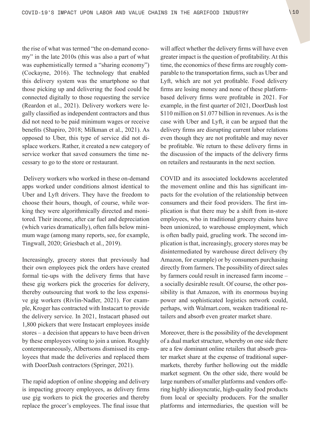the rise of what was termed "the on-demand economy" in the late 2010s (this was also a part of what was euphemistically termed a "sharing economy") (Cockayne, 2016). The technology that enabled this delivery system was the smartphone so that those picking up and delivering the food could be connected digitally to those requesting the service (Reardon et al., 2021). Delivery workers were legally classified as independent contractors and thus did not need to be paid minimum wages or receive benefits (Shapiro, 2018; Milkman et al., 2021). As opposed to Uber, this type of service did not displace workers. Rather, it created a new category of service worker that saved consumers the time necessary to go to the store or restaurant.

 Delivery workers who worked in these on-demand apps worked under conditions almost identical to Uber and Lyft drivers. They have the freedom to choose their hours, though, of course, while working they were algorithmically directed and monitored. Their income, after car fuel and depreciation (which varies dramatically), often falls below minimum wage (among many reports, see, for example, Tingwall, 2020; Griesbach et al., 2019).

Increasingly, grocery stores that previously had their own employees pick the orders have created formal tie-ups with the delivery firms that have these gig workers pick the groceries for delivery, thereby outsourcing that work to the less expensive gig workers (Rivlin-Nadler, 2021). For example, Kroger has contracted with Instacart to provide the delivery service. In 2021, Instacart phased out 1,800 pickers that were Instacart employees inside stores – a decision that appears to have been driven by these employees voting to join a union. Roughly contemporaneously, Albertsons dismissed its employees that made the deliveries and replaced them with DoorDash contractors (Springer, 2021).

The rapid adoption of online shopping and delivery is impacting grocery employees, as delivery firms use gig workers to pick the groceries and thereby replace the grocer's employees. The final issue that will affect whether the delivery firms will have even greater impact is the question of profitability. At this time, the economics of these firms are roughly comparable to the transportation firms, such as Uber and Lyft, which are not yet profitable. Food delivery firms are losing money and none of these platformbased delivery firms were profitable in 2021. For example, in the first quarter of 2021, DoorDash lost \$110 million on \$1.077 billion in revenues. As is the case with Uber and Lyft, it can be argued that the delivery firms are disrupting current labor relations even though they are not profitable and may never be profitable. We return to these delivery firms in the discussion of the impacts of the delivery firms on retailers and restaurants in the next section.

COVID and its associated lockdowns accelerated the movement online and this has significant impacts for the evolution of the relationship between consumers and their food providers. The first implication is that there may be a shift from in-store employees, who in traditional grocery chains have been unionized, to warehouse employment, which is often badly paid, grueling work. The second implication is that, increasingly, grocery stores may be disintermediated by warehouse direct delivery (by Amazon, for example) or by consumers purchasing directly from farmers. The possibility of direct sales by farmers could result in increased farm income – a socially desirable result. Of course, the other possibility is that Amazon, with its enormous buying power and sophisticated logistics network could, perhaps, with [Walmart.com,](http://Walmart.com) weaken traditional retailers and absorb even greater market share.

Moreover, there is the possibility of the development of a dual market structure, whereby on one side there are a few dominant online retailers that absorb greater market share at the expense of traditional supermarkets, thereby further hollowing out the middle market segment. On the other side, there would be large numbers of smaller platforms and vendors offering highly idiosyncratic, high-quality food products from local or specialty producers. For the smaller platforms and intermediaries, the question will be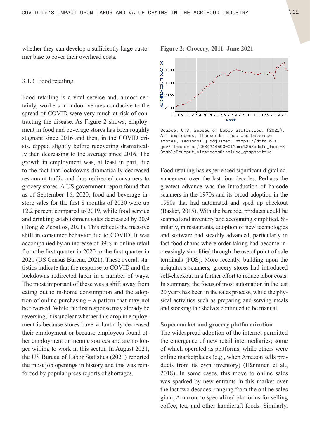<span id="page-10-0"></span>whether they can develop a sufficiently large customer base to cover their overhead costs.

#### 3.1.3 Food retailing

Food retailing is a vital service and, almost certainly, workers in indoor venues conducive to the spread of COVID were very much at risk of contracting the disease. As Figure 2 shows, employment in food and beverage stores has been roughly stagnant since 2016 and then, in the COVID crisis, dipped slightly before recovering dramatically then decreasing to the average since 2016. The growth in employment was, at least in part, due to the fact that lockdowns dramatically decreased restaurant traffic and thus redirected consumers to grocery stores. A US government report found that as of September 16, 2020, food and beverage instore sales for the first 8 months of 2020 were up 12.2 percent compared to 2019, while food service and drinking establishment sales decreased by 20.9 (Dong & Zeballos, 2021). This reflects the massive shift in consumer behavior due to COVID. It was accompanied by an increase of 39% in online retail from the first quarter in 2020 to the first quarter in 2021 (US Census Bureau, 2021). These overall statistics indicate that the response to COVID and the lockdowns redirected labor in a number of ways. The most important of these was a shift away from eating out to in-home consumption and the adoption of online purchasing – a pattern that may not be reversed. While the first response may already be reversing, it is unclear whether this drop in employment is because stores have voluntarily decreased their employment or because employees found other employment or income sources and are no longer willing to work in this sector. In August 2021, the US Bureau of Labor Statistics (2021) reported the most job openings in history and this was reinforced by popular press reports of shortages.

**THOUSANDS** 3,100 3,000 EMPLOYEES, 2,900

oi/11 oi/12 oi/13 oi/14 oi/15 oi/16 oi/17 oi/18 oi/19 oi/20 oi/21 Month

Source: U.S. Bureau of Labor Statistics. (2021). All employees, thousands, food and beverage stores, seasonally adjusted. [https://data.bls.](https://data.bls.gov/timeseries/CES4244500001?amp%253bdata_tool=XGtable&output_view=data&include_graphs=true) [gov/timeseries/CES4244500001?amp%253bdata\\_tool=X-](https://data.bls.gov/timeseries/CES4244500001?amp%253bdata_tool=XGtable&output_view=data&include_graphs=true)[Gtable&output\\_view=data&include\\_graphs=true](https://data.bls.gov/timeseries/CES4244500001?amp%253bdata_tool=XGtable&output_view=data&include_graphs=true)

Food retailing has experienced significant digital advancement over the last four decades. Perhaps the greatest advance was the introduction of barcode scanners in the 1970s and its broad adoption in the 1980s that had automated and sped up checkout (Basker, 2015). With the barcode, products could be scanned and inventory and accounting simplified. Similarly, in restaurants, adoption of new technologies and software had steadily advanced, particularly in fast food chains where order-taking had become increasingly simplified through the use of point-of-sale terminals (POS). More recently, building upon the ubiquitous scanners, grocery stores had introduced self-checkout in a further effort to reduce labor costs. In summary, the focus of most automation in the last 20 years has been in the sales process, while the physical activities such as preparing and serving meals and stocking the shelves continued to be manual.

#### **Supermarket and grocery platformization**

The widespread adoption of the internet permitted the emergence of new retail intermediaries; some of which operated as platforms, while others were online marketplaces (e.g., when Amazon sells products from its own inventory) (Hänninen et al., 2018). In some cases, this move to online sales was sparked by new entrants in this market over the last two decades, ranging from the online sales giant, Amazon, to specialized platforms for selling coffee, tea, and other handicraft foods. Similarly,

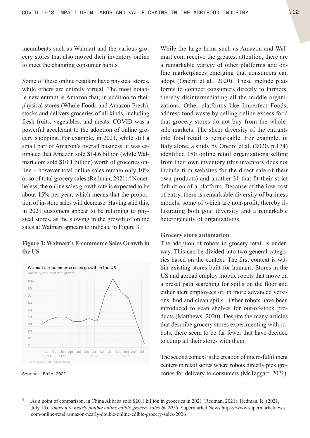incumbents such as Walmart and the various grocery stores that also moved their inventory online to meet the changing consumer habits.

Some of these online retailers have physical stores, while others are entirely virtual. The most notable new entrant is Amazon that, in addition to their physical stores (Whole Foods and Amazon Fresh), stocks and delivers groceries of all kinds, including fresh fruits, vegetables, and meats. COVID was a powerful accelerant to the adoption of online grocery shopping. For example, in 2021, while still a small part of Amazon's overall business, it was estimated that Amazon sold \$14.6 billion (while [Wal](http://Walmart.com)[mart.com](http://Walmart.com) sold \$10.1 billion) worth of groceries online – however total online sales remain only 10% or so of total grocery sales (Redman, 2021).<sup>4</sup> Nonetheless, the online sales growth rate is expected to be about 15% per year, which means that the proportion of in-store sales will decrease. Having said this, in 2021 customers appear to be returning to physical stores, as the slowing in the growth of online sales at Walmart appears to indicate in Figure 3.

### **Figure 3: Walmart's E-commerce Sales Growth in the US**



Source: Bain 2021

While the large firms such as Amazon and [Wal](http://Walmart.com)[mart.com](http://Walmart.com) receive the greatest attention, there are a remarkable variety of other platforms and online marketplaces emerging that consumers can adopt (Oncini et al., 2020). These include platforms to connect consumers directly to farmers, thereby disintermediating all the middle organizations. Other platforms like Imperfect Foods, address food waste by selling online excess food that grocery stores do not buy from the wholesale markets. The sheer diversity of the entrants into food retail is remarkable. For example, in Italy alone, a study by Oncini et al. (2020, p.174) identified 180 online retail organizations selling from their own inventory (this inventory does not include firm websites for the direct sale of their own products) and another 31 that fit their strict definition of a platform. Because of the low cost of entry, there is remarkable diversity of business models; some of which are non-profit, thereby illustrating both goal diversity and a remarkable heterogeneity of organizations.

### **Grocery store automation**

The adoption of robots in grocery retail is underway. This can be divided into two general categories based on the context. The first context is within existing stores built for humans. Stores in the US and abroad employ mobile robots that move on a preset path searching for spills on the floor and either alert employees or, in more advanced versions, find and clean spills. Other robots have been introduced to scan shelves for out-of-stock products (Matthews, 2020). Despite the many articles that describe grocery stores experimenting with robots, there seem to be far fewer that have decided to equip all their stores with them.

The second context is the creation of micro-fulfillment centers in retail stores where robots directly pick groceries for delivery to consumers (McTaggart, 2021).

<sup>&</sup>lt;sup>4</sup> As a point of comparison, in China Alibaba sold \$20.1 billion in groceries in 2021 (Redman, 2021). Redman, R. (2021, July 15). *Amazon to nearly double online edible grocery sales by 2026*. Supermarket [News.https://www.supermarketnews.](News.https://www.supermarketnews.com/online-retail/amazon-nearly-double-online-edible-grocery-sales-2026) [com/online-retail/amazon-nearly-double-online-edible-grocery-sales-2026](News.https://www.supermarketnews.com/online-retail/amazon-nearly-double-online-edible-grocery-sales-2026)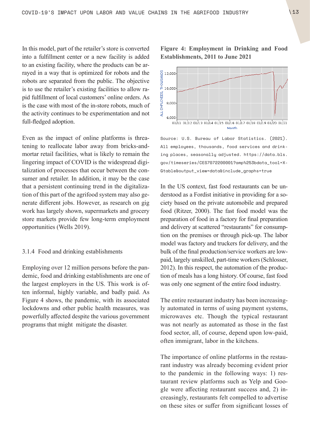<span id="page-12-0"></span>In this model, part of the retailer's store is converted into a fulfillment center or a new facility is added to an existing facility, where the products can be arrayed in a way that is optimized for robots and the robots are separated from the public. The objective is to use the retailer's existing facilities to allow rapid fulfillment of local customers' online orders. As is the case with most of the in-store robots, much of the activity continues to be experimentation and not full-fledged adoption.

Even as the impact of online platforms is threatening to reallocate labor away from bricks-andmortar retail facilities, what is likely to remain the lingering impact of COVID is the widespread digitalization of processes that occur between the consumer and retailer. In addition, it may be the case that a persistent continuing trend in the digitalization of this part of the agrifood system may also generate different jobs. However, as research on gig work has largely shown, supermarkets and grocery store markets provide few long-term employment opportunities (Wells 2019).

#### 3.1.4 Food and drinking establishments

Employing over 12 million persons before the pandemic, food and drinking establishments are one of the largest employers in the US. This work is often informal, highly variable, and badly paid. As Figure 4 shows, the pandemic, with its associated lockdowns and other public health measures, was powerfully affected despite the various government programs that might mitigate the disaster.

### **Figure 4: Employment in Drinking and Food Establishments, 2011 to June 2021**



Source: U.S. Bureau of Labor Statistics. (2021). All employees, thousands, food services and drinking places, seasonally adjusted. [https://data.bls.](https://data.bls.gov/timeseries/CES7072200001?amp%253bdata_tool=XGtable&output_view=data&include_graphs=true) [gov/timeseries/CES7072200001?amp%253bdata\\_tool=X-](https://data.bls.gov/timeseries/CES7072200001?amp%253bdata_tool=XGtable&output_view=data&include_graphs=true)[Gtable&output\\_view=data&include\\_graphs=true](https://data.bls.gov/timeseries/CES7072200001?amp%253bdata_tool=XGtable&output_view=data&include_graphs=true)

In the US context, fast food restaurants can be understood as a Fordist initiative in providing for a society based on the private automobile and prepared food (Ritzer, 2000). The fast food model was the preparation of food in a factory for final preparation and delivery at scattered "restaurants" for consumption on the premises or through pick-up. The labor model was factory and truckers for delivery, and the bulk of the final production/service workers are lowpaid, largely unskilled, part-time workers (Schlosser, 2012). In this respect, the automation of the production of meals has a long history. Of course, fast food was only one segment of the entire food industry.

The entire restaurant industry has been increasingly automated in terms of using payment systems, microwaves etc. Though the typical restaurant was not nearly as automated as those in the fast food sector, all, of course, depend upon low-paid, often immigrant, labor in the kitchens.

The importance of online platforms in the restaurant industry was already becoming evident prior to the pandemic in the following ways: 1) restaurant review platforms such as Yelp and Google were affecting restaurant success and, 2) increasingly, restaurants felt compelled to advertise on these sites or suffer from significant losses of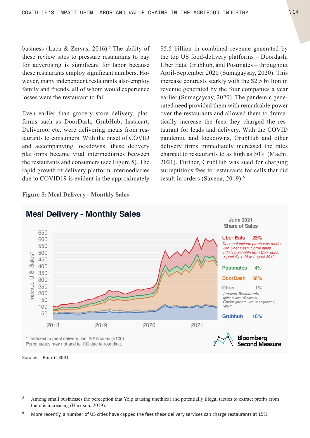business (Luca & Zervas, 2016).<sup>5</sup> The ability of these review sites to pressure restaurants to pay for advertising is significant for labor because these restaurants employ significant numbers. However, many independent restaurants also employ family and friends, all of whom would experience losses were the restaurant to fail.

Even earlier than grocery store delivery, platforms such as DoorDash, GrubHub, Instacart, Deliveroo, etc. were delivering meals from restaurants to consumers. With the onset of COVID and accompanying lockdowns, these delivery platforms became vital intermediaries between the restaurants and consumers (see Figure 5). The rapid growth of delivery platform intermediaries due to COVID19 is evident in the approximately

**Figure 5: Meal Delivery - Monthly Sales**

\$5.5 billion in combined revenue generated by the top US food-delivery platforms – Doordash, Uber Eats, Grubhub, and Postmates – throughout April-September 2020 (Sumagaysay, 2020). This increase contrasts starkly with the \$2.5 billion in revenue generated by the four companies a year earlier (Sumagaysay, 2020). The pandemic generated need provided them with remarkable power over the restaurants and allowed them to dramatically increase the fees they charged the restaurant for leads and delivery. With the COVID pandemic and lockdowns, GrubHub and other delivery firms immediately increased the rates charged to restaurants to as high as 30% (Machi, 2021). Further, GrubHub was sued for charging surreptitious fees to restaurants for calls that did result in orders (Saxena, 2019).<sup>6</sup>



## **Meal Delivery - Monthly Sales**

Source: Perri 2021

 $6$  More recently, a number of US cities have capped the fees these delivery services can charge restaurants at 15%.

<sup>&</sup>lt;sup>5</sup> Among small businesses the perception that Yelp is using unethical and potentially illegal tactics to extract profits from them is increasing (Harrison, 2019).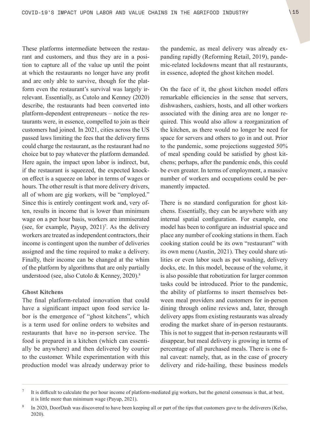These platforms intermediate between the restaurant and customers, and thus they are in a position to capture all of the value up until the point at which the restaurants no longer have any profit and are only able to survive, though for the platform even the restaurant's survival was largely irrelevant. Essentially, as Cutolo and Kenney (2020) describe, the restaurants had been converted into platform-dependent entrepreneurs – notice the restaurants were, in essence, compelled to join as their customers had joined. In 2021, cities across the US passed laws limiting the fees that the delivery firms could charge the restaurant, as the restaurant had no choice but to pay whatever the platform demanded. Here again, the impact upon labor is indirect, but, if the restaurant is squeezed, the expected knockon effect is a squeeze on labor in terms of wages or hours. The other result is that more delivery drivers, all of whom are gig workers, will be "employed." Since this is entirely contingent work and, very often, results in income that is lower than minimum wage on a per hour basis, workers are immiserated (see, for example, Payup,  $2021$ )<sup>7</sup>. As the delivery workers are treated as independent contractors, their income is contingent upon the number of deliveries assigned and the time required to make a delivery. Finally, their income can be changed at the whim of the platform by algorithms that are only partially understood (see, also Cutolo & Kenney, 2020).8

#### **Ghost Kitchens**

The final platform-related innovation that could have a significant impact upon food service labor is the emergence of "ghost kitchens", which is a term used for online orders to websites and restaurants that have no in-person service. The food is prepared in a kitchen (which can essentially be anywhere) and then delivered by courier to the customer. While experimentation with this production model was already underway prior to the pandemic, as meal delivery was already expanding rapidly (Reforming Retail, 2019), pandemic-related lockdowns meant that all restaurants, in essence, adopted the ghost kitchen model.

On the face of it, the ghost kitchen model offers remarkable efficiencies in the sense that servers, dishwashers, cashiers, hosts, and all other workers associated with the dining area are no longer required. This would also allow a reorganization of the kitchen, as there would no longer be need for space for servers and others to go in and out. Prior to the pandemic, some projections suggested 50% of meal spending could be satisfied by ghost kitchens; perhaps, after the pandemic ends, this could be even greater. In terms of employment, a massive number of workers and occupations could be permanently impacted.

There is no standard configuration for ghost kitchens. Essentially, they can be anywhere with any internal spatial configuration. For example, one model has been to configure an industrial space and place any number of cooking stations in them. Each cooking station could be its own "restaurant" with its own menu (Austin, 2021). They could share utilities or even labor such as pot washing, delivery docks, etc. In this model, because of the volume, it is also possible that robotization for larger common tasks could be introduced. Prior to the pandemic, the ability of platforms to insert themselves between meal providers and customers for in-person dining through online reviews and, later, through delivery apps from existing restaurants was already eroding the market share of in-person restaurants. This is not to suggest that in-person restaurants will disappear, but meal delivery is growing in terms of percentage of all purchased meals. There is one final caveat: namely, that, as in the case of grocery delivery and ride-hailing, these business models

<sup>7</sup> It is difficult to calculate the per hour income of platform-mediated gig workers, but the general consensus is that, at best, it is little more than minimum wage (Payup, 2021).

<sup>&</sup>lt;sup>8</sup> In 2020, DoorDash was discovered to have been keeping all or part of the tips that customers gave to the deliverers (Kelso, 2020).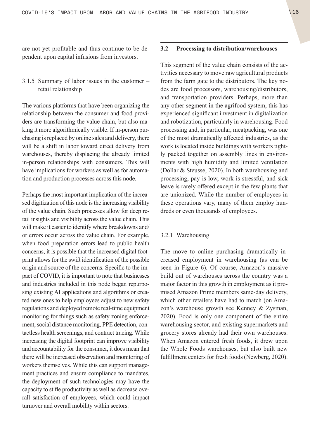<span id="page-15-0"></span>are not yet profitable and thus continue to be dependent upon capital infusions from investors.

### 3.1.5 Summary of labor issues in the customer – retail relationship

The various platforms that have been organizing the relationship between the consumer and food providers are transforming the value chain, but also making it more algorithmically visible. If in-person purchasing is replaced by online sales and delivery, there will be a shift in labor toward direct delivery from warehouses, thereby displacing the already limited in-person relationships with consumers. This will have implications for workers as well as for automation and production processes across this node.

Perhaps the most important implication of the increased digitization of this node is the increasing visibility of the value chain. Such processes allow for deep retail insights and visibility across the value chain. This will make it easier to identify where breakdowns and/ or errors occur across the value chain. For example, when food preparation errors lead to public health concerns, it is possible that the increased digital footprint allows for the swift identification of the possible origin and source of the concerns. Specific to the impact of COVID, it is important to note that businesses and industries included in this node began repurposing existing AI applications and algorithms or created new ones to help employees adjust to new safety regulations and deployed remote real-time equipment monitoring for things such as safety zoning enforcement, social distance monitoring, PPE detection, contactless health screenings, and contract tracing. While increasing the digital footprint can improve visibility and accountability for the consumer, it does mean that there will be increased observation and monitoring of workers themselves. While this can support management practices and ensure compliance to mandates, the deployment of such technologies may have the capacity to stifle productivity as well as decrease overall satisfaction of employees, which could impact turnover and overall mobility within sectors.

### **3.2 Processing to distribution/warehouses**

This segment of the value chain consists of the activities necessary to move raw agricultural products from the farm gate to the distributors. The key nodes are food processors, warehousing/distributors, and transportation providers. Perhaps, more than any other segment in the agrifood system, this has experienced significant investment in digitalization and robotization, particularly in warehousing. Food processing and, in particular, meatpacking, was one of the most dramatically affected industries, as the work is located inside buildings with workers tightly packed together on assembly lines in environments with high humidity and limited ventilation (Dollar & Steusse, 2020). In both warehousing and processing, pay is low, work is stressful, and sick leave is rarely offered except in the few plants that are unionized. While the number of employees in these operations vary, many of them employ hundreds or even thousands of employees.

#### 3.2.1 Warehousing

The move to online purchasing dramatically increased employment in warehousing (as can be seen in Figure 6). Of course, Amazon's massive build out of warehouses across the country was a major factor in this growth in employment as it promised Amazon Prime members same-day delivery, which other retailers have had to match (on Amazon's warehouse growth see Kenney & Zysman, 2020). Food is only one component of the entire warehousing sector, and existing supermarkets and grocery stores already had their own warehouses. When Amazon entered fresh foods, it drew upon the Whole Foods warehouses, but also built new fulfillment centers for fresh foods (Newberg, 2020).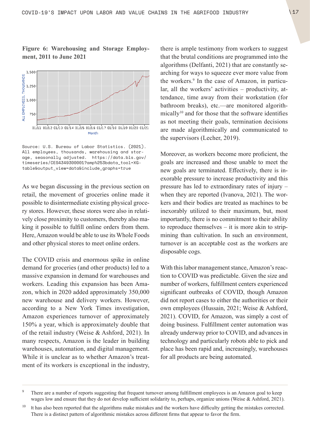### **Figure 6: Warehousing and Storage Employment, 2011 to June 2021**



Source: U.S. Bureau of Labor Statistics. (2021). All employees, thousands, warehousing and storage, seasonally adjusted. [https://data.bls.gov/](https://data.bls.gov/timeseries/CES4349300001?amp%253bdata_tool=XGtable&output_view=data&include_graphs=true) [timeseries/CES4349300001?amp%253bdata\\_tool=XG](https://data.bls.gov/timeseries/CES4349300001?amp%253bdata_tool=XGtable&output_view=data&include_graphs=true)[table&output\\_view=data&include\\_graphs=true](https://data.bls.gov/timeseries/CES4349300001?amp%253bdata_tool=XGtable&output_view=data&include_graphs=true)

As we began discussing in the previous section on retail, the movement of groceries online made it possible to disintermediate existing physical grocery stores. However, these stores were also in relatively close proximity to customers, thereby also making it possible to fulfill online orders from them. Here, Amazon would be able to use its Whole Foods and other physical stores to meet online orders.

The COVID crisis and enormous spike in online demand for groceries (and other products) led to a massive expansion in demand for warehouses and workers. Leading this expansion has been Amazon, which in 2020 added approximately 350,000 new warehouse and delivery workers. However, according to a New York Times investigation, Amazon experiences turnover of approximately 150% a year, which is approximately double that of the retail industry (Weise & Ashford, 2021). In many respects, Amazon is the leader in building warehouses, automation, and digital management. While it is unclear as to whether Amazon's treatment of its workers is exceptional in the industry, there is ample testimony from workers to suggest that the brutal conditions are programmed into the algorithms (Delfanti, 2021) that are constantly searching for ways to squeeze ever more value from the workers.<sup>9</sup> In the case of Amazon, in particular, all the workers' activities – productivity, attendance, time away from their workstation (for bathroom breaks), etc.—are monitored algorithmically<sup>10</sup> and for those that the software identifies as not meeting their goals, termination decisions are made algorithmically and communicated to the supervisors (Lecher, 2019).

Moreover, as workers become more proficient, the goals are increased and those unable to meet the new goals are terminated. Effectively, there is inexorable pressure to increase productivity and this pressure has led to extraordinary rates of injury – when they are reported (Ivanova, 2021). The workers and their bodies are treated as machines to be inexorably utilized to their maximum, but, most importantly, there is no commitment to their ability to reproduce themselves – it is more akin to stripmining than cultivation. In such an environment, turnover is an acceptable cost as the workers are disposable cogs.

With this labor management stance, Amazon's reaction to COVID was predictable. Given the size and number of workers, fulfillment centers experienced significant outbreaks of COVID, though Amazon did not report cases to either the authorities or their own employees (Hussain, 2021; Weise & Ashford, 2021). COVID, for Amazon, was simply a cost of doing business. Fulfillment center automation was already underway prior to COVID, and advances in technology and particularly robots able to pick and place has been rapid and, increasingly, warehouses for all products are being automated.

<sup>&</sup>lt;sup>9</sup> There are a number of reports suggesting that frequent turnover among fulfillment employees is an Amazon goal to keep wages low and ensure that they do not develop sufficient solidarity to, perhaps, organize unions (Weise & Ashford, 2021).

 $10$  It has also been reported that the algorithms make mistakes and the workers have difficulty getting the mistakes corrected. There is a distinct pattern of algorithmic mistakes across different firms that appear to favor the firm.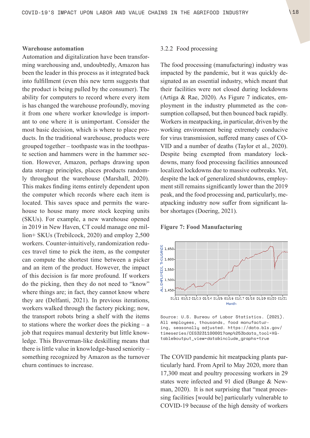#### <span id="page-17-0"></span>**Warehouse automation**

Automation and digitalization have been transforming warehousing and, undoubtedly, Amazon has been the leader in this process as it integrated back into fulfillment (even this new term suggests that the product is being pulled by the consumer). The ability for computers to record where every item is has changed the warehouse profoundly, moving it from one where worker knowledge is important to one where it is unimportant. Consider the most basic decision, which is where to place products. In the traditional warehouse, products were grouped together – toothpaste was in the toothpaste section and hammers were in the hammer section. However, Amazon, perhaps drawing upon data storage principles, places products randomly throughout the warehouse (Marshall, 2020). This makes finding items entirely dependent upon the computer which records where each item is located. This saves space and permits the warehouse to house many more stock keeping units (SKUs). For example, a new warehouse opened in 2019 in New Haven, CT could manage one million+ SKUs (Trebilcock, 2020) and employ 2,500 workers. Counter-intuitively, randomization reduces travel time to pick the item, as the computer can compute the shortest time between a picker and an item of the product. However, the impact of this decision is far more profound. If workers do the picking, then they do not need to "know" where things are; in fact, they cannot know where they are (Delfanti, 2021). In previous iterations, workers walked through the factory picking; now, the transport robots bring a shelf with the items to stations where the worker does the picking – a job that requires manual dexterity but little knowledge. This Braverman-like deskilling means that there is little value in knowledge-based seniority – something recognized by Amazon as the turnover churn continues to increase.

### 3.2.2 Food processing

The food processing (manufacturing) industry was impacted by the pandemic, but it was quickly designated as an essential industry, which meant that their facilities were not closed during lockdowns (Artiga & Rae, 2020). As Figure 7 indicates, employment in the industry plummeted as the consumption collapsed, but then bounced back rapidly. Workers in meatpacking, in particular, driven by the working environment being extremely conducive for virus transmission, suffered many cases of CO-VID and a number of deaths (Taylor et al., 2020). Despite being exempted from mandatory lockdowns, many food processing facilities announced localized lockdowns due to massive outbreaks. Yet, despite the lack of generalized shutdowns, employment still remains significantly lower than the 2019 peak, and the food processing and, particularly, meatpacking industry now suffer from significant labor shortages (Doering, 2021).

#### **Figure 7: Food Manufacturing**



Source: U.S. Bureau of Labor Statistics. (2021). All employees, thousands, food manufacturing, seasonally adjusted. [https://data.bls.gov/](https://data.bls.gov/timeseries/CES3231100001?amp%253bdata_tool=XGtable&output_view=data&include_graphs=true) [timeseries/CES3231100001?amp%253bdata\\_tool=XG](https://data.bls.gov/timeseries/CES3231100001?amp%253bdata_tool=XGtable&output_view=data&include_graphs=true)[table&output\\_view=data&include\\_graphs=true](https://data.bls.gov/timeseries/CES3231100001?amp%253bdata_tool=XGtable&output_view=data&include_graphs=true)

The COVID pandemic hit meatpacking plants particularly hard. From April to May 2020, more than 17,300 meat and poultry processing workers in 29 states were infected and 91 died (Bunge & Newman, 2020). It is not surprising that "meat processing facilities [would be] particularly vulnerable to COVID-19 because of the high density of workers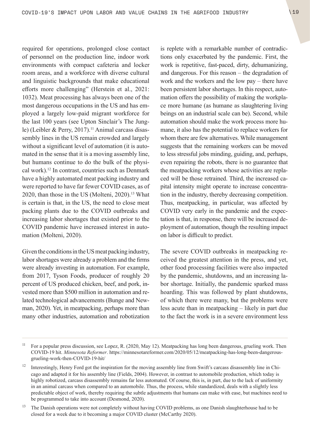required for operations, prolonged close contact of personnel on the production line, indoor work environments with compact cafeteria and locker room areas, and a workforce with diverse cultural and linguistic backgrounds that make educational efforts more challenging" (Herstein et al., 2021: 1032). Meat processing has always been one of the most dangerous occupations in the US and has employed a largely low-paid migrant workforce for the last 100 years (see Upton Sinclair's The Jungle) (Leibler & Perry, 2017).<sup>11</sup> Animal carcass disassembly lines in the US remain crowded and largely without a significant level of automation (it is automated in the sense that it is a moving assembly line, but humans continue to do the bulk of the physical work).12 In contrast, countries such as Denmark have a highly automated meat packing industry and were reported to have far fewer COVID cases, as of 2020, than those in the US (Molteni, 2020).<sup>13</sup> What is certain is that, in the US, the need to close meat packing plants due to the COVID outbreaks and increasing labor shortages that existed prior to the COVID pandemic have increased interest in automation (Molteni, 2020).

Given the conditions in the US meat packing industry, labor shortages were already a problem and the firms were already investing in automation. For example, from 2017, Tyson Foods, producer of roughly 20 percent of US produced chicken, beef, and pork, invested more than \$500 million in automation and related technological advancements (Bunge and Newman, 2020). Yet, in meatpacking, perhaps more than many other industries, automation and robotization is replete with a remarkable number of contradictions only exacerbated by the pandemic. First, the work is repetitive, fast-paced, dirty, dehumanizing, and dangerous. For this reason – the degradation of work and the workers and the low pay – there have been persistent labor shortages. In this respect, automation offers the possibility of making the workplace more humane (as humane as slaughtering living beings on an industrial scale can be). Second, while automation should make the work process more humane, it also has the potential to replace workers for whom there are few alternatives. While management suggests that the remaining workers can be moved to less stressful jobs minding, guiding, and, perhaps, even repairing the robots, there is no guarantee that the meatpacking workers whose activities are replaced will be those retrained. Third, the increased capital intensity might operate to increase concentration in the industry, thereby decreasing competition. Thus, meatpacking, in particular, was affected by COVID very early in the pandemic and the expectation is that, in response, there will be increased deployment of automation, though the resulting impact on labor is difficult to predict.

The severe COVID outbreaks in meatpacking received the greatest attention in the press, and yet, other food processing facilities were also impacted by the pandemic, shutdowns, and an increasing labor shortage. Initially, the pandemic sparked mass hoarding. This was followed by plant shutdowns, of which there were many, but the problems were less acute than in meatpacking – likely in part due to the fact the work is in a severe environment less

<sup>&</sup>lt;sup>11</sup> For a popular press discussion, see Lopez, R. (2020, May 12). Meatpacking has long been dangerous, grueling work. Then COVID-19 hit. *Minnesota Reformer*. [https://minnesotareformer.com/2020/05/12/meatpacking-has-long-been-dangerous](https://minnesotareformer.com/2020/05/12/meatpacking-has-long-been-dangerous-grueling-work-then-COVID-19-hit/)[grueling-work-then-COVID-19-hit/](https://minnesotareformer.com/2020/05/12/meatpacking-has-long-been-dangerous-grueling-work-then-COVID-19-hit/)

<sup>&</sup>lt;sup>12</sup> Interestingly, Henry Ford got the inspiration for the moving assembly line from Swift's carcass disassembly line in Chicago and adapted it for his assembly line (Fields, 2004). However, in contrast to automobile production, which today is highly robotized, carcass disassembly remains far less automated. Of course, this is, in part, due to the lack of uniformity in an animal carcass when compared to an automobile. Thus, the process, while standardized, deals with a slightly less predictable object of work, thereby requiring the subtle adjustments that humans can make with ease, but machines need to be programmed to take into account (Desmond, 2020).

<sup>&</sup>lt;sup>13</sup> The Danish operations were not completely without having COVID problems, as one Danish slaughterhouse had to be closed for a week due to it becoming a major COVID cluster (McCarthy 2020).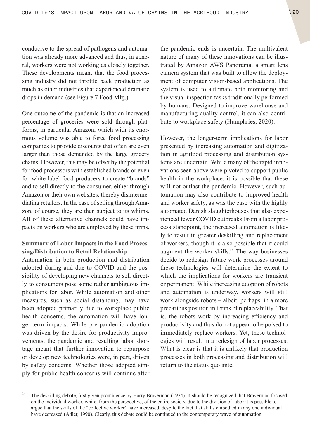conducive to the spread of pathogens and automation was already more advanced and thus, in general, workers were not working as closely together. These developments meant that the food processing industry did not throttle back production as much as other industries that experienced dramatic drops in demand (see Figure 7 Food Mfg.).

One outcome of the pandemic is that an increased percentage of groceries were sold through platforms, in particular Amazon, which with its enormous volume was able to force food processing companies to provide discounts that often are even larger than those demanded by the large grocery chains. However, this may be offset by the potential for food processors with established brands or even for white-label food producers to create "brands" and to sell directly to the consumer, either through Amazon or their own websites, thereby disintermediating retailers. In the case of selling through Amazon, of course, they are then subject to its whims. All of these alternative channels could have impacts on workers who are employed by these firms.

### **Summary of Labor Impacts in the Food Processing/Distribution to Retail Relationship**

Automation in both production and distribution adopted during and due to COVID and the possibility of developing new channels to sell directly to consumers pose some rather ambiguous implications for labor. While automation and other measures, such as social distancing, may have been adopted primarily due to workplace public health concerns, the automation will have longer-term impacts. While pre-pandemic adoption was driven by the desire for productivity improvements, the pandemic and resulting labor shortage meant that further innovation to repurpose or develop new technologies were, in part, driven by safety concerns. Whether those adopted simply for public health concerns will continue after the pandemic ends is uncertain. The multivalent nature of many of these innovations can be illustrated by Amazon AWS Panorama, a smart lens camera system that was built to allow the deployment of computer vision-based applications. The system is used to automate both monitoring and the visual inspection tasks traditionally performed by humans. Designed to improve warehouse and manufacturing quality control, it can also contribute to workplace safety (Humphries, 2020).

However, the longer-term implications for labor presented by increasing automation and digitization in agrifood processing and distribution systems are uncertain. While many of the rapid innovations seen above were pivoted to support public health in the workplace, it is possible that these will not outlast the pandemic. However, such automation may also contribute to improved health and worker safety, as was the case with the highly automated Danish slaughterhouses that also experienced fewer COVID outbreaks.From a labor process standpoint, the increased automation is likely to result in greater deskilling and replacement of workers, though it is also possible that it could augment the worker skills.14 The way businesses decide to redesign future work processes around these technologies will determine the extent to which the implications for workers are transient or permanent. While increasing adoption of robots and automation is underway, workers will still work alongside robots – albeit, perhaps, in a more precarious position in terms of replaceability. That is, the robots work by increasing efficiency and productivity and thus do not appear to be poised to immediately replace workers. Yet, these technologies will result in a redesign of labor processes. What is clear is that it is unlikely that production processes in both processing and distribution will return to the status quo ante.

<sup>&</sup>lt;sup>14</sup> The deskilling debate, first given prominence by Harry Braverman (1974). It should be recognized that Braverman focused on the individual worker, while, from the perspective, of the entire society, due to the division of labor it is possible to argue that the skills of the "collective worker" have increased, despite the fact that skills embodied in any one individual have decreased (Adler, 1990). Clearly, this debate could be continued to the contemporary wave of automation.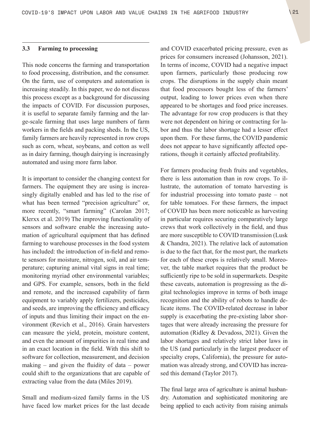### <span id="page-20-0"></span>**3.3 Farming to processing**

This node concerns the farming and transportation to food processing, distribution, and the consumer. On the farm, use of computers and automation is increasing steadily. In this paper, we do not discuss this process except as a background for discussing the impacts of COVID. For discussion purposes, it is useful to separate family farming and the large-scale farming that uses large numbers of farm workers in the fields and packing sheds. In the US, family farmers are heavily represented in row crops such as corn, wheat, soybeans, and cotton as well as in dairy farming, though dairying is increasingly automated and using more farm labor.

It is important to consider the changing context for farmers. The equipment they are using is increasingly digitally enabled and has led to the rise of what has been termed "precision agriculture" or, more recently, "smart farming" (Carolan 2017; Klerxx et al. 2019) The improving functionality of sensors and software enable the increasing automation of agricultural equipment that has defined farming to warehouse processes in the food system has included: the introduction of in-field and remote sensors for moisture, nitrogen, soil, and air temperature; capturing animal vital signs in real time; monitoring myriad other environmental variables; and GPS. For example, sensors, both in the field and remote, and the increased capability of farm equipment to variably apply fertilizers, pesticides, and seeds, are improving the efficiency and efficacy of inputs and thus limiting their impact on the environment (Revich et al., 2016). Grain harvesters can measure the yield, protein, moisture content, and even the amount of impurities in real time and in an exact location in the field. With this shift to software for collection, measurement, and decision making – and given the fluidity of data – power could shift to the organizations that are capable of extracting value from the data (Miles 2019).

Small and medium-sized family farms in the US have faced low market prices for the last decade and COVID exacerbated pricing pressure, even as prices for consumers increased (Johansson, 2021). In terms of income, COVID had a negative impact upon farmers, particularly those producing row crops. The disruptions in the supply chain meant that food processors bought less of the farmers' output, leading to lower prices even when there appeared to be shortages and food price increases. The advantage for row crop producers is that they were not dependent on hiring or contracting for labor and thus the labor shortage had a lesser effect upon them. For these farms, the COVID pandemic does not appear to have significantly affected operations, though it certainly affected profitability.

For farmers producing fresh fruits and vegetables, there is less automation than in row crops. To illustrate, the automation of tomato harvesting is for industrial processing into tomato paste – not for table tomatoes. For these farmers, the impact of COVID has been more noticeable as harvesting in particular requires securing comparatively large crews that work collectively in the field, and thus are more susceptible to COVID transmission (Lusk & Chandra, 2021). The relative lack of automation is due to the fact that, for the most part, the markets for each of these crops is relatively small. Moreover, the table market requires that the product be sufficiently ripe to be sold in supermarkets. Despite these caveats, automation is progressing as the digital technologies improve in terms of both image recognition and the ability of robots to handle delicate items. The COVID-related decrease in labor supply is exacerbating the pre-existing labor shortages that were already increasing the pressure for automation (Ridley & Devadoss, 2021). Given the labor shortages and relatively strict labor laws in the US (and particularly in the largest producer of specialty crops, California), the pressure for automation was already strong, and COVID has increased this demand (Taylor 2017).

The final large area of agriculture is animal husbandry. Automation and sophisticated monitoring are being applied to each activity from raising animals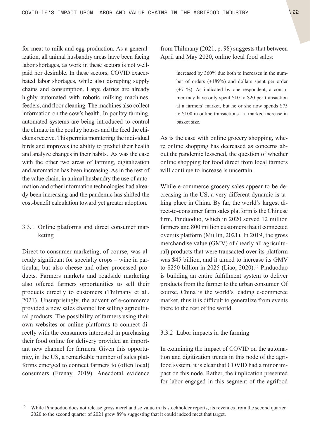<span id="page-21-0"></span>for meat to milk and egg production. As a generalization, all animal husbandry areas have been facing labor shortages, as work in these sectors is not wellpaid nor desirable. In these sectors, COVID exacerbated labor shortages, while also disrupting supply chains and consumption. Large dairies are already highly automated with robotic milking machines, feeders, and floor cleaning. The machines also collect information on the cow's health. In poultry farming, automated systems are being introduced to control the climate in the poultry houses and the feed the chickens receive. This permits monitoring the individual birds and improves the ability to predict their health and analyze changes in their habits. As was the case with the other two areas of farming, digitalization and automation has been increasing. As in the rest of the value chain, in animal husbandry the use of automation and other information technologies had already been increasing and the pandemic has shifted the cost-benefit calculation toward yet greater adoption.

### 3.3.1 Online platforms and direct consumer marketing

Direct-to-consumer marketing, of course, was already significant for specialty crops – wine in particular, but also cheese and other processed products. Farmers markets and roadside marketing also offered farmers opportunities to sell their products directly to customers (Thilmany et al., 2021). Unsurprisingly, the advent of e-commerce provided a new sales channel for selling agricultural products. The possibility of farmers using their own websites or online platforms to connect directly with the consumers interested in purchasing their food online for delivery provided an important new channel for farmers. Given this opportunity, in the US, a remarkable number of sales platforms emerged to connect farmers to (often local) consumers (Frenay, 2019). Anecdotal evidence from Thilmany (2021, p. 98) suggests that between April and May 2020, online local food sales:

> increased by 360% due both to increases in the number of orders (+189%) and dollars spent per order (+71%). As indicated by one respondent, a consumer may have only spent \$10 to \$20 per transaction at a farmers' market, but he or she now spends \$75 to \$100 in online transactions – a marked increase in basket size.

As is the case with online grocery shopping, where online shopping has decreased as concerns about the pandemic lessened, the question of whether online shopping for food direct from local farmers will continue to increase is uncertain.

While e-commerce grocery sales appear to be decreasing in the US, a very different dynamic is taking place in China. By far, the world's largest direct-to-consumer farm sales platform is the Chinese firm, Pinduoduo, which in 2020 served 12 million farmers and 800 million customers that it connected over its platform (Mullin, 2021). In 2019, the gross merchandise value (GMV) of (nearly all agricultural) products that were transacted over its platform was \$45 billion, and it aimed to increase its GMV to \$250 billion in 2025 (Liao, 2020).<sup>15</sup> Pinduoduo is building an entire fulfillment system to deliver products from the farmer to the urban consumer. Of course, China is the world's leading e-commerce market, thus it is difficult to generalize from events there to the rest of the world.

### 3.3.2 Labor impacts in the farming

In examining the impact of COVID on the automation and digitization trends in this node of the agrifood system, it is clear that COVID had a minor impact on this node. Rather, the implication presented for labor engaged in this segment of the agrifood

<sup>&</sup>lt;sup>15</sup> While Pinduoduo does not release gross merchandise value in its stockholder reports, its revenues from the second quarter 2020 to the second quarter of 2021 grew 89% suggesting that it could indeed meet that target.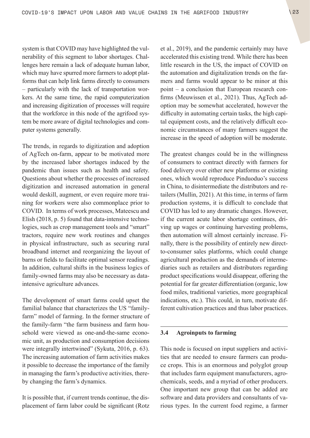<span id="page-22-0"></span>system is that COVID may have highlighted the vulnerability of this segment to labor shortages. Challenges here remain a lack of adequate human labor, which may have spurred more farmers to adopt platforms that can help link farms directly to consumers – particularly with the lack of transportation workers. At the same time, the rapid computerization and increasing digitization of processes will require that the workforce in this node of the agrifood system be more aware of digital technologies and computer systems generally.

The trends, in regards to digitization and adoption of AgTech on-farm, appear to be motivated more by the increased labor shortages induced by the pandemic than issues such as health and safety. Questions about whether the processes of increased digitization and increased automation in general would deskill, augment, or even require more training for workers were also commonplace prior to COVID. In terms of work processes, Mateescu and Elish (2018, p. 5) found that data-intensive technologies, such as crop management tools and "smart" tractors, require new work routines and changes in physical infrastructure, such as securing rural broadband internet and reorganizing the layout of barns or fields to facilitate optimal sensor readings. In addition, cultural shifts in the business logics of family-owned farms may also be necessary as dataintensive agriculture advances.

The development of smart farms could upset the familial balance that characterizes the US "familyfarm" model of farming. In the former structure of the family-farm "the farm business and farm household were viewed as one-and-the-same economic unit, as production and consumption decisions were integrally intertwined" (Sykuta, 2016, p. 63). The increasing automation of farm activities makes it possible to decrease the importance of the family in managing the farm's productive activities, thereby changing the farm's dynamics.

It is possible that, if current trends continue, the displacement of farm labor could be significant (Rotz et al., 2019), and the pandemic certainly may have accelerated this existing trend. While there has been little research in the US, the impact of COVID on the automation and digitalization trends on the farmers and farms would appear to be minor at this point – a conclusion that European research confirms (Meuwissen et al., 2021). Thus, AgTech adoption may be somewhat accelerated, however the difficulty in automating certain tasks, the high capital equipment costs, and the relatively difficult economic circumstances of many farmers suggest the increase in the speed of adoption will be moderate.

The greatest changes could be in the willingness of consumers to contract directly with farmers for food delivery over either new platforms or existing ones, which would reproduce Pinduoduo's success in China, to disintermediate the distributors and retailers (Mullin, 2021). At this time, in terms of farm production systems, it is difficult to conclude that COVID has led to any dramatic changes. However, if the current acute labor shortage continues, driving up wages or continuing harvesting problems, then automation will almost certainly increase. Finally, there is the possibility of entirely new directto-consumer sales platforms, which could change agricultural production as the demands of intermediaries such as retailers and distributors regarding product specifications would disappear, offering the potential for far greater differentiation (organic, low food miles, traditional varieties, more geographical indications, etc.). This could, in turn, motivate different cultivation practices and thus labor practices.

### **3.4 Agroinputs to farming**

This node is focused on input suppliers and activities that are needed to ensure farmers can produce crops. This is an enormous and polyglot group that includes farm equipment manufacturers, agrochemicals, seeds, and a myriad of other producers. One important new group that can be added are software and data providers and consultants of various types. In the current food regime, a farmer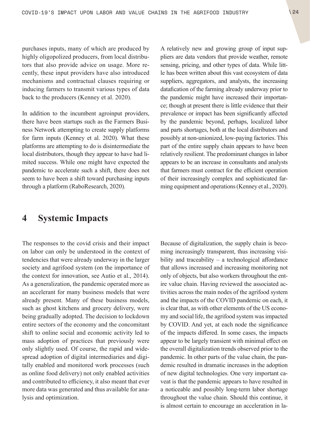<span id="page-23-0"></span>purchases inputs, many of which are produced by highly oligopolized producers, from local distributors that also provide advice on usage. More recently, these input providers have also introduced mechanisms and contractual clauses requiring or inducing farmers to transmit various types of data back to the producers (Kenney et al. 2020).

In addition to the incumbent agroinput providers, there have been startups such as the Farmers Business Network attempting to create supply platforms for farm inputs (Kenney et al. 2020). What these platforms are attempting to do is disintermediate the local distributors, though they appear to have had limited success. While one might have expected the pandemic to accelerate such a shift, there does not seem to have been a shift toward purchasing inputs through a platform (RaboResearch, 2020).

A relatively new and growing group of input suppliers are data vendors that provide weather, remote sensing, pricing, and other types of data. While little has been written about this vast ecosystem of data suppliers, aggregators, and analysts, the increasing datafication of the farming already underway prior to the pandemic might have increased their importance; though at present there is little evidence that their prevalence or impact has been significantly affected by the pandemic beyond, perhaps, localized labor and parts shortages, both at the local distributors and possibly at non-unionized, low-paying factories. This part of the entire supply chain appears to have been relatively resilient. The predominant changes in labor appears to be an increase in consultants and analysts that farmers must contract for the efficient operation of their increasingly complex and sophisticated farming equipment and operations (Kenney et al., 2020).

# **4 Systemic Impacts**

The responses to the covid crisis and their impact on labor can only be understood in the context of tendencies that were already underway in the larger society and agrifood system (on the importance of the context for innovation, see Autio et al., 2014). As a generalization, the pandemic operated more as an accelerant for many business models that were already present. Many of these business models, such as ghost kitchens and grocery delivery, were being gradually adopted. The decision to lockdown entire sectors of the economy and the concomitant shift to online social and economic activity led to mass adoption of practices that previously were only slightly used. Of course, the rapid and widespread adoption of digital intermediaries and digitally enabled and monitored work processes (such as online food delivery) not only enabled activities and contributed to efficiency, it also meant that ever more data was generated and thus available for analysis and optimization.

Because of digitalization, the supply chain is becoming increasingly transparent, thus increasing visibility and traceability – a technological affordance that allows increased and increasing monitoring not only of objects, but also workers throughout the entire value chain. Having reviewed the associated activities across the main nodes of the agrifood system and the impacts of the COVID pandemic on each, it is clear that, as with other elements of the US economy and social life, the agrifood system was impacted by COVID. And yet, at each node the significance of the impacts differed. In some cases, the impacts appear to be largely transient with minimal effect on the overall digitalization trends observed prior to the pandemic. In other parts of the value chain, the pandemic resulted in dramatic increases in the adoption of new digital technologies. One very important caveat is that the pandemic appears to have resulted in a noticeable and possibly long-term labor shortage throughout the value chain. Should this continue, it is almost certain to encourage an acceleration in la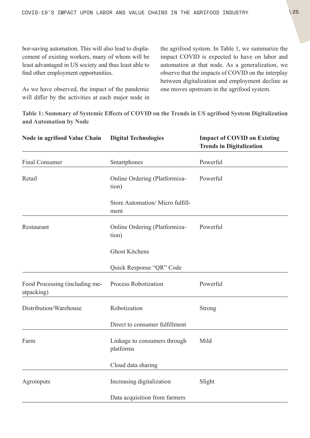bor-saving automation. This will also lead to displacement of existing workers, many of whom will be least advantaged in US society and thus least able to find other employment opportunities.

As we have observed, the impact of the pandemic will differ by the activities at each major node in

the agrifood system. In Table 1, we summarize the impact COVID is expected to have on labor and automation at that node. As a generalization, we observe that the impacts of COVID on the interplay between digitalization and employment decline as one moves upstream in the agrifood system.

**Table 1: Summary of Systemic Effects of COVID on the Trends in US agrifood System Digitalization and Automation by Node**

| Node in agrifood Value Chain                 | <b>Digital Technologies</b>               | <b>Impact of COVID on Existing</b><br><b>Trends in Digitalization</b> |
|----------------------------------------------|-------------------------------------------|-----------------------------------------------------------------------|
| <b>Final Consumer</b>                        | Smartphones                               | Powerful                                                              |
| Retail                                       | Online Ordering (Platformiza-<br>tion)    | Powerful                                                              |
|                                              | Store Automation/ Micro fulfill-<br>ment  |                                                                       |
| Restaurant                                   | Online Ordering (Platformiza-<br>tion)    | Powerful                                                              |
|                                              | <b>Ghost Kitchens</b>                     |                                                                       |
|                                              | Quick Response "QR" Code                  |                                                                       |
| Food Processing (including me-<br>atpacking) | Process Robotization                      | Powerful                                                              |
| Distribution/Warehouse                       | Robotization                              | Strong                                                                |
|                                              | Direct to consumer fulfillment            |                                                                       |
| Farm                                         | Linkage to consumers through<br>platforms | Mild                                                                  |
|                                              | Cloud data sharing                        |                                                                       |
| Agroinputs                                   | Increasing digitalization                 | Slight                                                                |
|                                              | Data acquisition from farmers             |                                                                       |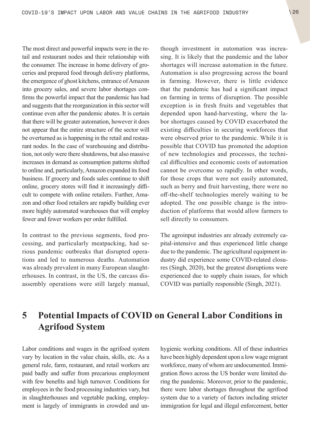<span id="page-25-0"></span>The most direct and powerful impacts were in the retail and restaurant nodes and their relationship with the consumer. The increase in home delivery of groceries and prepared food through delivery platforms, the emergence of ghost kitchens, entrance of Amazon into grocery sales, and severe labor shortages confirms the powerful impact that the pandemic has had and suggests that the reorganization in this sector will continue even after the pandemic abates. It is certain that there will be greater automation, however it does not appear that the entire structure of the sector will be overturned as is happening in the retail and restaurant nodes. In the case of warehousing and distribution, not only were there shutdowns, but also massive increases in demand as consumption patterns shifted to online and, particularly, Amazon expanded its food business. If grocery and foods sales continue to shift online, grocery stores will find it increasingly difficult to compete with online retailers. Further, Amazon and other food retailers are rapidly building ever more highly automated warehouses that will employ fewer and fewer workers per order fulfilled.

In contrast to the previous segments, food processing, and particularly meatpacking, had serious pandemic outbreaks that disrupted operations and led to numerous deaths. Automation was already prevalent in many European slaughterhouses. In contrast, in the US, the carcass disassembly operations were still largely manual, though investment in automation was increasing. It is likely that the pandemic and the labor shortages will increase automation in the future. Automation is also progressing across the board in farming. However, there is little evidence that the pandemic has had a significant impact on farming in terms of disruption. The possible exception is in fresh fruits and vegetables that depended upon hand-harvesting, where the labor shortages caused by COVID exacerbated the existing difficulties in securing workforces that were observed prior to the pandemic. While it is possible that COVID has promoted the adoption of new technologies and processes, the technical difficulties and economic costs of automation cannot be overcome so rapidly. In other words, for those crops that were not easily automated, such as berry and fruit harvesting, there were no off-the-shelf technologies merely waiting to be adopted. The one possible change is the introduction of platforms that would allow farmers to sell directly to consumers.

The agroinput industries are already extremely capital-intensive and thus experienced little change due to the pandemic. The agricultural equipment industry did experience some COVID-related closures (Singh, 2020), but the greatest disruptions were experienced due to supply chain issues, for which COVID was partially responsible (Singh, 2021).

# **5 Potential Impacts of COVID on General Labor Conditions in Agrifood System**

Labor conditions and wages in the agrifood system vary by location in the value chain, skills, etc. As a general rule, farm, restaurant, and retail workers are paid badly and suffer from precarious employment with few benefits and high turnover. Conditions for employees in the food processing industries vary, but in slaughterhouses and vegetable packing, employment is largely of immigrants in crowded and unhygienic working conditions. All of these industries have been highly dependent upon a low wage migrant workforce, many of whom are undocumented. Immigration flows across the US border were limited during the pandemic. Moreover, prior to the pandemic, there were labor shortages throughout the agrifood system due to a variety of factors including stricter immigration for legal and illegal enforcement, better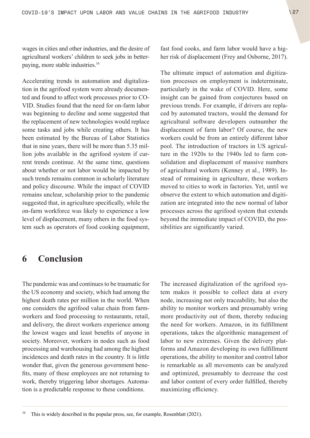<span id="page-26-0"></span>wages in cities and other industries, and the desire of agricultural workers' children to seek jobs in betterpaying, more stable industries.16

Accelerating trends in automation and digitalization in the agrifood system were already documented and found to affect work processes prior to CO-VID. Studies found that the need for on-farm labor was beginning to decline and some suggested that the replacement of new technologies would replace some tasks and jobs while creating others. It has been estimated by the Bureau of Labor Statistics that in nine years, there will be more than 5.35 million jobs available in the agrifood system if current trends continue. At the same time, questions about whether or not labor would be impacted by such trends remains common in scholarly literature and policy discourse. While the impact of COVID remains unclear, scholarship prior to the pandemic suggested that, in agriculture specifically, while the on-farm workforce was likely to experience a low level of displacement, many others in the food system such as operators of food cooking equipment, fast food cooks, and farm labor would have a higher risk of displacement (Frey and Osborne, 2017).

The ultimate impact of automation and digitization processes on employment is indeterminate, particularly in the wake of COVID. Here, some insight can be gained from conjectures based on previous trends. For example, if drivers are replaced by automated tractors, would the demand for agricultural software developers outnumber the displacement of farm labor? Of course, the new workers could be from an entirely different labor pool. The introduction of tractors in US agriculture in the 1920s to the 1940s led to farm consolidation and displacement of massive numbers of agricultural workers (Kenney et al., 1989). Instead of remaining in agriculture, these workers moved to cities to work in factories. Yet, until we observe the extent to which automation and digitization are integrated into the new normal of labor processes across the agrifood system that extends beyond the immediate impact of COVID, the possibilities are significantly varied.

# **6 Conclusion**

The pandemic was and continues to be traumatic for the US economy and society, which had among the highest death rates per million in the world. When one considers the agrifood value chain from farmworkers and food processing to restaurants, retail, and delivery, the direct workers experience among the lowest wages and least benefits of anyone in society. Moreover, workers in nodes such as food processing and warehousing had among the highest incidences and death rates in the country. It is little wonder that, given the generous government benefits, many of these employees are not returning to work, thereby triggering labor shortages. Automation is a predictable response to these conditions.

The increased digitalization of the agrifood system makes it possible to collect data at every node, increasing not only traceability, but also the ability to monitor workers and presumably wring more productivity out of them, thereby reducing the need for workers. Amazon, in its fulfillment operations, takes the algorithmic management of labor to new extremes. Given the delivery platforms and Amazon developing its own fulfillment operations, the ability to monitor and control labor is remarkable as all movements can be analyzed and optimized, presumably to decrease the cost and labor content of every order fulfilled, thereby maximizing efficiency.

<sup>16</sup> This is widely described in the popular press, see, for example, Rosenblatt (2021).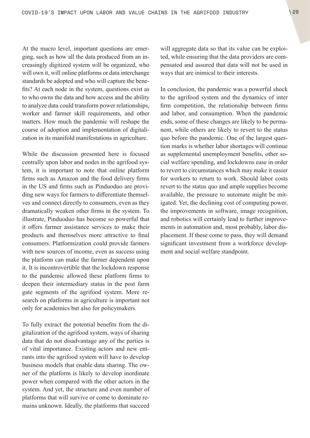At the macro level, important questions are emerging, such as how all the data produced from an increasingly digitized system will be organized, who will own it, will online platforms or data interchange standards be adopted and who will capture the benefits? At each node in the system, questions exist as to who owns the data and how access and the ability to analyze data could transform power relationships, worker and farmer skill requirements, and other matters. How much the pandemic will reshape the course of adoption and implementation of digitalization in its manifold manifestations in agriculture.

While the discussion presented here is focused centrally upon labor and nodes in the agrifood system, it is important to note that online platform firms such as Amazon and the food delivery firms in the US and firms such as Pinduoduo are providing new ways for farmers to differentiate themselves and connect directly to consumers, even as they dramatically weaken other firms in the system. To illustrate, Pinduoduo has become so powerful that it offers farmer assistance services to make their products and themselves more attractive to final consumers. Platformization could provide farmers with new sources of income, even as success using the platform can make the farmer dependent upon it. It is incontrovertible that the lockdown response to the pandemic allowed these platform firms to deepen their intermediary status in the post farm gate segments of the agrifood system. More research on platforms in agriculture is important not only for academics but also for policymakers.

To fully extract the potential benefits from the digitalization of the agrifood system, ways of sharing data that do not disadvantage any of the parties is of vital importance. Existing actors and new entrants into the agrifood system will have to develop business models that enable data sharing. The owner of the platform is likely to develop inordinate power when compared with the other actors in the system. And yet, the structure and even number of platforms that will survive or come to dominate remains unknown. Ideally, the platforms that succeed

will aggregate data so that its value can be exploited, while ensuring that the data providers are compensated and assured that data will not be used in ways that are inimical to their interests.

In conclusion, the pandemic was a powerful shock to the agrifood system and the dynamics of inter firm competition, the relationship between firms and labor, and consumption. When the pandemic ends, some of these changes are likely to be permanent, while others are likely to revert to the status quo before the pandemic. One of the largest question marks is whether labor shortages will continue as supplemental unemployment benefits, other social welfare spending, and lockdowns ease in order to revert to circumstances which may make it easier for workers to return to work. Should labor costs revert to the status quo and ample supplies become available, the pressure to automate might be mitigated. Yet, the declining cost of computing power, the improvements in software, image recognition, and robotics will certainly lead to further improvements in automation and, most probably, labor displacement. If these come to pass, they will demand significant investment from a workforce development and social welfare standpoint.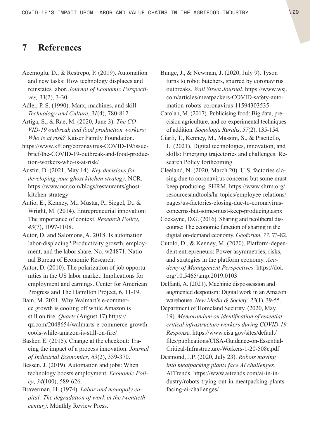# <span id="page-28-0"></span>**7 References**

- Acemoglu, D., & Restrepo, P. (2019). Automation and new tasks: How technology displaces and reinstates labor. *Journal of Economic Perspectives, 33*(2), 3-30.
- Adler, P. S. (1990). Marx, machines, and skill. *Technology and Culture*, *31*(4), 780-812.
- Artiga, S., & Rae, M. (2020, June 3). *The CO-VID-19 outbreak and food production workers: Who is at risk?* Kaiser Family Foundation.
- [https://www.kff.org/coronavirus-COVID-19/issue](https://www.kff.org/coronavirus-covid-19/issue-brief/the-covid-19-outbreak-and-food-production-workers-who-is-at-risk/)[brief/the-COVID-19-outbreak-and-food-produc](https://www.kff.org/coronavirus-covid-19/issue-brief/the-covid-19-outbreak-and-food-production-workers-who-is-at-risk/)[tion-workers-who-is-at-risk/](https://www.kff.org/coronavirus-covid-19/issue-brief/the-covid-19-outbreak-and-food-production-workers-who-is-at-risk/)
- Austin, D. (2021, May 14). *Key decisions for developing your ghost kitchen strategy*. NCR. [https://www.ncr.com/blogs/restaurants/ghost](https://www.ncr.com/blogs/restaurants/ghost-kitchen-strategy)[kitchen-strategy](https://www.ncr.com/blogs/restaurants/ghost-kitchen-strategy)
- Autio, E., Kenney, M., Mustar, P., Siegel, D., & Wright, M. (2014). Entrepreneurial innovation: The importance of context. *Research Policy*, *43*(7), 1097-1108.
- Autor, D. and Salomons, A. 2018. Is automation labor-displacing? Productivity growth, employment, and the labor share. No. w24871. National Bureau of Economic Research.
- Autor, D. (2010). The polarization of job opportunities in the US labor market: Implications for employment and earnings. Center for American Progress and The Hamilton Project, 6, 11-19.
- Bain, M. 2021. Why Walmart's e-commerce growth is cooling off while Amazon is still on fire. *Quartz* (August 17) [https://](https://qz.com/2048654/walmarts-e-commerce-growth-cools-while-amazon-is-still-on-fire/) [qz.com/2048654/walmarts-e-commerce-growth](https://qz.com/2048654/walmarts-e-commerce-growth-cools-while-amazon-is-still-on-fire/)[cools-while-amazon-is-still-on-fire/](https://qz.com/2048654/walmarts-e-commerce-growth-cools-while-amazon-is-still-on-fire/)
- Basker, E. (2015). Change at the checkout: Tracing the impact of a process innovation. *Journal of Industrial Economics*, *63*(2), 339-370.
- Bessen, J. (2019). Automation and jobs: When technology boosts employment. *Economic Policy*, *34*(100), 589-626.
- Braverman, H. (1974). *Labor and monopoly capital: The degradation of work in the twentieth century*. Monthly Review Press.
- Bunge, J., & Newman, J. (2020, July 9). Tyson turns to robot butchers, spurred by coronavirus outbreaks. *Wall Street Journal*. [https://www.wsj.](https://www.wsj.com/articles/meatpackers-COVID-safety-automation-robots-coronavirus-11594303535) [com/articles/meatpackers-COVID-safety-auto](https://www.wsj.com/articles/meatpackers-COVID-safety-automation-robots-coronavirus-11594303535)[mation-robots-coronavirus-11594303535](https://www.wsj.com/articles/meatpackers-COVID-safety-automation-robots-coronavirus-11594303535)
- Carolan, M. (2017). Publicising food: Big data, precision agriculture, and co-experimental techniques of addition. *Sociologia Ruralis*. *57*(2), 135-154.
- Ciarli, T., Kenney, M., Massini, S., & Piscitello, L. (2021). Digital technologies, innovation, and skills: Emerging trajectories and challenges. Research Policy forthcoming.
- Cleeland, N. (2020, March 20). U.S. factories closing due to coronavirus concerns but some must keep producing. SHRM. [https://www.shrm.org/](https://www.shrm.org/resourcesandtools/hr-topics/employee-relations/pages/us-factories-closing-due-to-coronavirus-concerns-but-some-must-keep-producing.aspx) [resourcesandtools/hr-topics/employee-relations/](https://www.shrm.org/resourcesandtools/hr-topics/employee-relations/pages/us-factories-closing-due-to-coronavirus-concerns-but-some-must-keep-producing.aspx) [pages/us-factories-closing-due-to-coronavirus](https://www.shrm.org/resourcesandtools/hr-topics/employee-relations/pages/us-factories-closing-due-to-coronavirus-concerns-but-some-must-keep-producing.aspx)[concerns-but-some-must-keep-producing.aspx](https://www.shrm.org/resourcesandtools/hr-topics/employee-relations/pages/us-factories-closing-due-to-coronavirus-concerns-but-some-must-keep-producing.aspx)
- Cockayne, D.G. (2016). Sharing and neoliberal discourse: The economic function of sharing in the digital on-demand economy. *Geoforum*, *77*, 73-82.
- Cutolo, D., & Kenney, M. (2020). Platform-dependent entrepreneurs: Power asymmetries, risks, and strategies in the platform economy. *Academy of Management Perspectives*. [https://doi.](https://doi.org/10.5465/amp.2019.0103) [org/10.5465/amp.2019.0103](https://doi.org/10.5465/amp.2019.0103)
- Delfanti, A. (2021). Machinic dispossession and augmented despotism: Digital work in an Amazon warehouse. *New Media & Society*, *23*(1), 39-55.
- Department of Homeland Security. (2020, May 19). *Memorandum on identification of essential critical infrastructure workers during COVID-19 Response*. [https://www.cisa.gov/sites/default/](https://www.cisa.gov/sites/default/files/publications/CISA-Guidance-on-Essential-Critical-Infrastructure-Workers-1-20-508c.pdf) [files/publications/CISA-Guidance-on-Essential-](https://www.cisa.gov/sites/default/files/publications/CISA-Guidance-on-Essential-Critical-Infrastructure-Workers-1-20-508c.pdf)[Critical-Infrastructure-Workers-1-20-508c.pdf](https://www.cisa.gov/sites/default/files/publications/CISA-Guidance-on-Essential-Critical-Infrastructure-Workers-1-20-508c.pdf)
- Desmond, J.P. (2020, July 23). *Robots moving into meatpacking plants face AI challenges*. AITrends. [https://www.aitrends.com/ai-in-in](https://www.aitrends.com/ai-in-industry/robots-trying-out-in-meatpacking-plants-facing-ai-challenges/)[dustry/robots-trying-out-in-meatpacking-plants](https://www.aitrends.com/ai-in-industry/robots-trying-out-in-meatpacking-plants-facing-ai-challenges/)[facing-ai-challenges/](https://www.aitrends.com/ai-in-industry/robots-trying-out-in-meatpacking-plants-facing-ai-challenges/)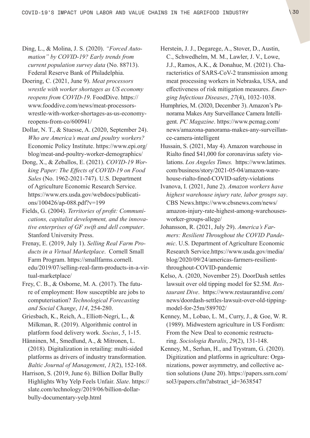- Ding, L., & Molina, J. S. (2020). *"Forced Automation" by COVID-19? Early trends from current population survey data* (No. 88713). Federal Reserve Bank of Philadelphia.
- Doering, C. (2021, June 9). *Meat processors wrestle with worker shortages as US economy reopens from COVID-19*. FoodDive. [https://](https://www.fooddive.com/news/meat-processors-wrestle-with-worker-shortages-as-us-economy-reopens-from-co/600941/) [www.fooddive.com/news/meat-processors](https://www.fooddive.com/news/meat-processors-wrestle-with-worker-shortages-as-us-economy-reopens-from-co/600941/)[wrestle-with-worker-shortages-as-us-economy](https://www.fooddive.com/news/meat-processors-wrestle-with-worker-shortages-as-us-economy-reopens-from-co/600941/)[reopens-from-co/600941/](https://www.fooddive.com/news/meat-processors-wrestle-with-worker-shortages-as-us-economy-reopens-from-co/600941/)
- Dollar, N. T., & Stuesse, A. (2020, September 24). *Who are America's meat and poultry workers?* Economic Policy Institute. [https://www.epi.org/](https://www.epi.org/blog/meat-and-poultry-worker-demographics/) [blog/meat-and-poultry-worker-demographics/](https://www.epi.org/blog/meat-and-poultry-worker-demographics/)
- Dong, X., & Zeballos, E. (2021). *COVID-19 Working Paper: The Effects of COVID-19 on Food Sales* (No. 1962-2021-747). U.S. Department of Agriculture Economic Research Service. [https://www.ers.usda.gov/webdocs/publicati](https://www.ers.usda.gov/webdocs/publications/100426/ap-088.pdf?v=199)[ons/100426/ap-088.pdf?v=199](https://www.ers.usda.gov/webdocs/publications/100426/ap-088.pdf?v=199)
- Fields, G. (2004). *Territories of profit: Communications, capitalist development, and the innovative enterprises of GF swift and dell computer*. Stanford University Press.
- Frenay, E. (2019, July 1). *Selling Real Farm Products in a Virtual Marketplace*. Cornell Small Farm Program. [https://smallfarms.cornell.](https://smallfarms.cornell.edu/2019/07/selling-real-farm-products-in-a-virtual-marketplace/) [edu/2019/07/selling-real-farm-products-in-a-vir](https://smallfarms.cornell.edu/2019/07/selling-real-farm-products-in-a-virtual-marketplace/)[tual-marketplace/](https://smallfarms.cornell.edu/2019/07/selling-real-farm-products-in-a-virtual-marketplace/)
- Frey, C. B., & Osborne, M. A. (2017). The future of employment: How susceptible are jobs to computerisation? *Technological Forecasting and Social Change*, *114*, 254-280.
- Griesbach, K., Reich, A., Elliott-Negri, L., & Milkman, R. (2019). Algorithmic control in platform food delivery work. *Socius*, *5*, 1-15.
- Hänninen, M., Smedlund, A., & Mitronen, L. (2018). Digitalization in retailing: multi-sided platforms as drivers of industry transformation. *Baltic Journal of Management*, *13*(2), 152-168.
- Harrison, S. (2019, June 6). Billion Dollar Bully Highlights Why Yelp Feels Unfair. *Slate*. [https://](https://slate.com/technology/2019/06/billion-dollar-bully-documentary-yelp.html) [slate.com/technology/2019/06/billion-dollar](https://slate.com/technology/2019/06/billion-dollar-bully-documentary-yelp.html)[bully-documentary-yelp.html](https://slate.com/technology/2019/06/billion-dollar-bully-documentary-yelp.html)
- Herstein, J. J., Degarege, A., Stover, D., Austin, C., Schwedhelm, M. M., Lawler, J. V., Lowe, J.J., Ramos, A.K., & Donahue, M. (2021). Characteristics of SARS-CoV-2 transmission among meat processing workers in Nebraska, USA, and effectiveness of risk mitigation measures. *Emerging Infectious Diseases*, *27*(4), 1032-1038.
- Humphries, M. (2020, December 3). Amazon's Panorama Makes Any Surveillance Camera Intelligent. *PC Magazine*. [https://www.pcmag.com/](https://www.pcmag.com/news/amazona-panorama-makes-any-surveillance-camera-intelligent) [news/amazona-panorama-makes-any-surveillan](https://www.pcmag.com/news/amazona-panorama-makes-any-surveillance-camera-intelligent)[ce-camera-intelligent](https://www.pcmag.com/news/amazona-panorama-makes-any-surveillance-camera-intelligent)
- Hussain, S. (2021, May 4). Amazon warehouse in Rialto fined \$41,000 for coronavirus safety violations. *Los Angeles Times.* [https://www.latimes.](https://www.latimes.com/business/story/2021-05-04/amazon-warehouse-rialto-fined-COVID-safety-violations) [com/business/story/2021-05-04/amazon-ware](https://www.latimes.com/business/story/2021-05-04/amazon-warehouse-rialto-fined-COVID-safety-violations)[house-rialto-fined-COVID-safety-violations](https://www.latimes.com/business/story/2021-05-04/amazon-warehouse-rialto-fined-COVID-safety-violations)
- Ivanova, I. (2021, June 2). *Amazon workers have highest warehouse injury rate, labor groups say*. CBS [News.https://www.cbsnews.com/news/](News.https://www.cbsnews.com/news/amazon-injury-rate-highest-among-warehouses-worker-groups-allege/) [amazon-injury-rate-highest-among-warehouses](News.https://www.cbsnews.com/news/amazon-injury-rate-highest-among-warehouses-worker-groups-allege/)[worker-groups-allege/](News.https://www.cbsnews.com/news/amazon-injury-rate-highest-among-warehouses-worker-groups-allege/)
- Johansson, R. (2021, July 29). *America's Farmers: Resilient Throughout the COVID Pandemic*. U.S. Department of Agriculture Economic Research [Service.https://www.usda.gov/media/](Service.https://www.usda.gov/media/blog/2020/09/24/americas-farmers-resilient-throughout-COVID-pandemic) [blog/2020/09/24/americas-farmers-resilient](Service.https://www.usda.gov/media/blog/2020/09/24/americas-farmers-resilient-throughout-COVID-pandemic)[throughout-COVID-pandemic](Service.https://www.usda.gov/media/blog/2020/09/24/americas-farmers-resilient-throughout-COVID-pandemic)
- Kelso, A. (2020, November 25). DoorDash settles lawsuit over old tipping model for \$2.5M. *Restaurant Dive*. [https://www.restaurantdive.com/](https://www.restaurantdive.com/news/doordash-settles-lawsuit-over-old-tipping-model-for-25m/589702/) [news/doordash-settles-lawsuit-over-old-tipping](https://www.restaurantdive.com/news/doordash-settles-lawsuit-over-old-tipping-model-for-25m/589702/)[model-for-25m/589702/](https://www.restaurantdive.com/news/doordash-settles-lawsuit-over-old-tipping-model-for-25m/589702/)
- Kenney, M., Lobao, L. M., Curry, J., & Goe, W. R. (1989). Midwestern agriculture in US Fordism: From the New Deal to economic restructuring. *Sociologia Ruralis*, *29*(2), 131-148.
- Kenney, M., Serhan, H., and Trystram, G. (2020). Digitization and platforms in agriculture: Organizations, power asymmetry, and collective action solutions (June 20). [https://papers.ssrn.com/](https://papers.ssrn.com/sol3/papers.cfm?abstract_id=3638547) [sol3/papers.cfm?abstract\\_id=3638547](https://papers.ssrn.com/sol3/papers.cfm?abstract_id=3638547)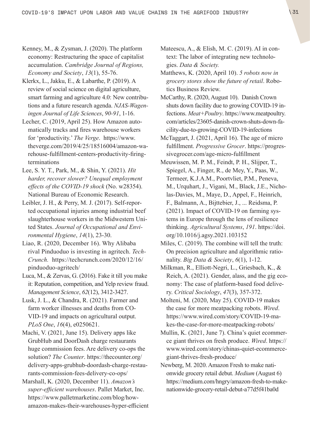- Kenney, M., & Zysman, J. (2020). The platform economy: Restructuring the space of capitalist accumulation. *Cambridge Journal of Regions, Economy and Society*, *13*(1), 55-76.
- Klerkx, L., Jakku, E., & Labarthe, P. (2019). A review of social science on digital agriculture, smart farming and agriculture 4.0: New contributions and a future research agenda. *NJAS-Wageningen Journal of Life Sciences*, *90-91*, 1-16.
- Lecher, C. (2019, April 25). How Amazon automatically tracks and fires warehouse workers for 'productivity.' *The Verge*. [https://www.](https://www.theverge.com/2019/4/25/18516004/amazon-warehouse-fulfillment-centers-productivity-firing-terminations) [theverge.com/2019/4/25/18516004/amazon-wa](https://www.theverge.com/2019/4/25/18516004/amazon-warehouse-fulfillment-centers-productivity-firing-terminations)[rehouse-fulfillment-centers-productivity-firing](https://www.theverge.com/2019/4/25/18516004/amazon-warehouse-fulfillment-centers-productivity-firing-terminations)[terminations](https://www.theverge.com/2019/4/25/18516004/amazon-warehouse-fulfillment-centers-productivity-firing-terminations)
- Lee, S. Y. T., Park, M., & Shin, Y. (2021). *Hit harder, recover slower? Unequal employment effects of the COVID-19 shock* (No. w28354). National Bureau of Economic Research.
- Leibler, J. H., & Perry, M. J. (2017). Self-reported occupational injuries among industrial beef slaughterhouse workers in the Midwestern United States. *Journal of Occupational and Environmental Hygiene*, *14*(1), 23-30.
- Liao, R. (2020, December 16). Why Alibaba rival Pinduoduo is investing in agritech. *Tech-Crunch.* [https://techcrunch.com/2020/12/16/](https://techcrunch.com/2020/12/16/pinduoduo-agritech/) [pinduoduo-agritech/](https://techcrunch.com/2020/12/16/pinduoduo-agritech/)
- Luca, M., & Zervas, G. (2016). Fake it till you make it: Reputation, competition, and Yelp review fraud. *Management Science*, *62*(12), 3412-3427.
- Lusk, J. L., & Chandra, R. (2021). Farmer and farm worker illnesses and deaths from CO-VID-19 and impacts on agricultural output. *PLoS One*, *16*(4), e0250621.
- Machi, V. (2021, June 15). Delivery apps like GrubHub and DoorDash charge restaurants huge commission fees. Are delivery co-ops the solution? *The Counter*. [https://thecounter.org/](https://thecounter.org/delivery-apps-grubhub-doordash-charge-restaurants-commission-fees-delivery-co-ops/) [delivery-apps-grubhub-doordash-charge-restau](https://thecounter.org/delivery-apps-grubhub-doordash-charge-restaurants-commission-fees-delivery-co-ops/)[rants-commission-fees-delivery-co-ops/](https://thecounter.org/delivery-apps-grubhub-doordash-charge-restaurants-commission-fees-delivery-co-ops/)
- Marshall, K. (2020, December 11). *Amazon's super-efficient warehouses*. Pallet Market, Inc. [https://www.palletmarketinc.com/blog/how](https://www.palletmarketinc.com/blog/how-amazon-makes-their-warehouses-hyper-efficient)[amazon-makes-their-warehouses-hyper-efficient](https://www.palletmarketinc.com/blog/how-amazon-makes-their-warehouses-hyper-efficient)
- Mateescu, A., & Elish, M. C. (2019). AI in context: The labor of integrating new technologies. *Data & Society.*
- Matthews, K. (2020, April 10). *5 robots now in grocery stores show the future of retail*. Robotics Business Review.
- McCarthy, R. (2020, August 10). Danish Crown shuts down facility due to growing COVID-19 infections. *Meat+Poultry*. [https://www.meatpoultry.](https://www.meatpoultry.com/articles/23605-danish-crown-shuts-down-facility-due-to-growing-COVID-19-infections) [com/articles/23605-danish-crown-shuts-down-fa](https://www.meatpoultry.com/articles/23605-danish-crown-shuts-down-facility-due-to-growing-COVID-19-infections)[cility-due-to-growing-COVID-19-infections](https://www.meatpoultry.com/articles/23605-danish-crown-shuts-down-facility-due-to-growing-COVID-19-infections)
- McTaggart, J. (2021, April 16). The age of micro fulfillment. *Progressive Grocer*. [https://progres](https://progressivegrocer.com/age-micro-fulfillment)[sivegrocer.com/age-micro-fulfillment](https://progressivegrocer.com/age-micro-fulfillment)
- Meuwissen, M. P. M., Feindt, P. H., Slijper, T., Spiegel, A., Finger, R., de Mey, Y., Paas, W., Termeer, K.J.A.M., Poortvliet, P.M., Peneva, M., Urquhart, J., Vigani, M., Black, J.E., Nicholas-Davies, M., Maye, D., Appel, F., Heinrich, F., Balmann, A., Bijttebier, J., ... Reidsma, P. (2021). Impact of COVID-19 on farming systems in Europe through the lens of resilience thinking. *Agricultural Systems*, *191*. [https://doi.](https://doi.org/10.1016/j.agsy.2021.103152) [org/10.1016/j.agsy.2021.103152](https://doi.org/10.1016/j.agsy.2021.103152)
- Miles, C. (2019). The combine will tell the truth: On precision agriculture and algorithmic rationality. *Big Data & Society*, *6*(1), 1-12.
- Milkman, R., Elliott-Negri, L., Griesbach, K., & Reich, A. (2021). Gender, alass, and the gig economy: The case of platform-based food delivery. *Critical Sociology*, *47*(3), 357-372.
- Molteni, M. (2020, May 25). COVID-19 makes the case for more meatpacking robots. *Wired*. [https://www.wired.com/story/COVID-19-ma](https://www.wired.com/story/COVID-19-makes-the-case-for-more-meatpacking-robots/)[kes-the-case-for-more-meatpacking-robots/](https://www.wired.com/story/COVID-19-makes-the-case-for-more-meatpacking-robots/)
- Mullin, K. (2021, June 7). China's quiet ecommerce giant thrives on fresh produce. *Wired*. [https://](https://www.wired.com/story/chinas-quiet-ecommerce-giant-thrives-fresh-produce/) [www.wired.com/story/chinas-quiet-ecommerce](https://www.wired.com/story/chinas-quiet-ecommerce-giant-thrives-fresh-produce/)[giant-thrives-fresh-produce/](https://www.wired.com/story/chinas-quiet-ecommerce-giant-thrives-fresh-produce/)
- Newberg, M. 2020. Amazon Fresh to make nationwide grocery retail debut. *Medium* (August 6) [https://medium.com/hngry/amazon-fresh-to-make](https://medium.com/hngry/amazon-fresh-to-make-nationwide-grocery-retail-debut-a77d5f41ba0d)[nationwide-grocery-retail-debut-a77d5f41ba0d](https://medium.com/hngry/amazon-fresh-to-make-nationwide-grocery-retail-debut-a77d5f41ba0d)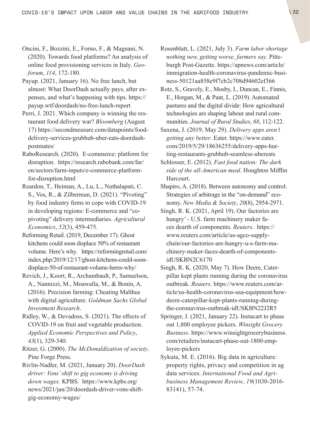- Oncini, F., Bozzini, E., Forno, F., & Magnani, N. (2020). Towards food platforms? An analysis of online food provisioning services in Italy. *Geoforum*, *114*, 172-180.
- Payup. (2021, January 16). No free lunch, but almost: What DoorDash actually pays, after expenses, and what's happening with tips. [https://](https://payup.wtf/doordash/no-free-lunch-report) [payup.wtf/doordash/no-free-lunch-report](https://payup.wtf/doordash/no-free-lunch-report)
- Perri, J. 2021. Which company is winning the restaurant food delivery war? *Bloomberg* (August 17) [https://secondmeasure.com/datapoints/food](https://secondmeasure.com/datapoints/food-delivery-services-grubhub-uber-eats-doordash-postmates/)[delivery-services-grubhub-uber-eats-doordash](https://secondmeasure.com/datapoints/food-delivery-services-grubhub-uber-eats-doordash-postmates/)[postmates/](https://secondmeasure.com/datapoints/food-delivery-services-grubhub-uber-eats-doordash-postmates/)
- RaboResearch. (2020). E-commerce: platform for disruption. [https://research.rabobank.com/far/](https://research.rabobank.com/far/en/sectors/farm-inputs/e-commerce-platform-for-disruption.html) [en/sectors/farm-inputs/e-commerce-platform](https://research.rabobank.com/far/en/sectors/farm-inputs/e-commerce-platform-for-disruption.html)[for-disruption.html](https://research.rabobank.com/far/en/sectors/farm-inputs/e-commerce-platform-for-disruption.html)
- Reardon, T., Heiman, A., Lu, L., Nuthalapati, C. S., Vos, R., & Zilberman, D. (2021). "Pivoting" by food industry firms to cope with COVID‐19 in developing regions: E‐commerce and "copivoting" delivery intermediaries. *Agricultural Economics*, *52*(3), 459-475.
- Reforming Retail. (2019, December 17). Ghost kitchens could soon displace 50% of restaurant volume. Here's why. [https://reformingretail.com/](https://reformingretail.com/index.php/2019/12/17/ghost-kitchens-could-soon-displace-50-of-restaurant-volume-heres-why/) [index.php/2019/12/17/ghost-kitchens-could-soon](https://reformingretail.com/index.php/2019/12/17/ghost-kitchens-could-soon-displace-50-of-restaurant-volume-heres-why/)[displace-50-of-restaurant-volume-heres-why/](https://reformingretail.com/index.php/2019/12/17/ghost-kitchens-could-soon-displace-50-of-restaurant-volume-heres-why/)
- Revich, J., Koort, R., Archambault, P., Samuelson, A., Nannizzi, M., Moawalla, M., & Bonin, A. (2016). Precision farming: Cheating Malthus with digital agriculture. *Goldman Sachs Global Investment Research*.
- Ridley, W., & Devadoss, S. (2021). The effects of COVID‐19 on fruit and vegetable production. *Applied Economic Perspectives and Policy*, *43*(1), 329-340.
- Ritzer, G. (2000). *The McDonaldization of society*. Pine Forge Press.
- Rivlin-Nadler, M. (2021, January 20). *DoorDash driver: Vons' shift to gig economy is driving down wages.* KPBS. [https://www.kpbs.org/](https://www.kpbs.org/news/2021/jan/20/doordash-driver-vons-shift-gig-economy-wages/) [news/2021/jan/20/doordash-driver-vons-shift](https://www.kpbs.org/news/2021/jan/20/doordash-driver-vons-shift-gig-economy-wages/)[gig-economy-wages/](https://www.kpbs.org/news/2021/jan/20/doordash-driver-vons-shift-gig-economy-wages/)
- Rosenblatt, L. (2021, July 3). *Farm labor shortage nothing new, getting worse, farmers say*. Pittsburgh Post-Gazette. [https://apnews.com/article/](https://apnews.com/article/immigration-health-coronavirus-pandemic-business-50121aa858e9f7cb2c708d94602ef366) [immigration-health-coronavirus-pandemic-busi](https://apnews.com/article/immigration-health-coronavirus-pandemic-business-50121aa858e9f7cb2c708d94602ef366)[ness-50121aa858e9f7cb2c708d94602ef366](https://apnews.com/article/immigration-health-coronavirus-pandemic-business-50121aa858e9f7cb2c708d94602ef366)
- Rotz, S., Gravely, E., Mosby, I., Duncan, E., Finnis, E., Horgan, M., & Pant, L. (2019). Automated pastures and the digital divide: How agricultural technologies are shaping labour and rural communities. *Journal of Rural Studies*, *68*, 112-122.
- Saxena, J. (2019, May 29). *Delivery apps aren't getting any better*. Eater. [https://www.eater.](https://www.eater.com/2019/5/29/18636255/delivery-apps-hurting-restaurants-grubhub-seamless-ubereats) [com/2019/5/29/18636255/delivery-apps-hur](https://www.eater.com/2019/5/29/18636255/delivery-apps-hurting-restaurants-grubhub-seamless-ubereats)[ting-restaurants-grubhub-seamless-ubereats](https://www.eater.com/2019/5/29/18636255/delivery-apps-hurting-restaurants-grubhub-seamless-ubereats)
- Schlosser, E. (2012). *Fast food nation: The dark side of the all-American meal*. Houghton Mifflin Harcourt.
- Shapiro, A. (2018). Between autonomy and control: Strategies of arbitrage in the "on-demand" economy. *New Media & Society*, *20*(8), 2954-2971.
- Singh, R. K. (2021, April 19). Our factories are hungry' - U.S. farm machinery maker faces dearth of components. *Reuters*. [https://](https://www.reuters.com/article/us-agco-supplychain/our-factories-are-hungry-u-s-farm-machinery-maker-faces-dearth-of-components-idUSKBN2C6170) [www.reuters.com/article/us-agco-supply](https://www.reuters.com/article/us-agco-supplychain/our-factories-are-hungry-u-s-farm-machinery-maker-faces-dearth-of-components-idUSKBN2C6170)[chain/our-factories-are-hungry-u-s-farm-ma](https://www.reuters.com/article/us-agco-supplychain/our-factories-are-hungry-u-s-farm-machinery-maker-faces-dearth-of-components-idUSKBN2C6170)[chinery-maker-faces-dearth-of-components](https://www.reuters.com/article/us-agco-supplychain/our-factories-are-hungry-u-s-farm-machinery-maker-faces-dearth-of-components-idUSKBN2C6170)[idUSKBN2C6170](https://www.reuters.com/article/us-agco-supplychain/our-factories-are-hungry-u-s-farm-machinery-maker-faces-dearth-of-components-idUSKBN2C6170)
- Singh, R. K. (2020, May 7). How Deere, Caterpillar kept plants running during the coronavirus outbreak. *Reuters*. [https://www.reuters.com/ar](https://www.reuters.com/article/us-health-coronavirus-usa-equipment/how-deere-caterpillar-kept-plants-running-during-the-coronavirus-outbreak-idUSKBN22J2R5)[ticle/us-health-coronavirus-usa-equipment/how](https://www.reuters.com/article/us-health-coronavirus-usa-equipment/how-deere-caterpillar-kept-plants-running-during-the-coronavirus-outbreak-idUSKBN22J2R5)[deere-caterpillar-kept-plants-running-during](https://www.reuters.com/article/us-health-coronavirus-usa-equipment/how-deere-caterpillar-kept-plants-running-during-the-coronavirus-outbreak-idUSKBN22J2R5)[the-coronavirus-outbreak-idUSKBN22J2R5](https://www.reuters.com/article/us-health-coronavirus-usa-equipment/how-deere-caterpillar-kept-plants-running-during-the-coronavirus-outbreak-idUSKBN22J2R5)
- Springer, J. (2021, January 22). Instacart to phase out 1,800 employee pickers. *Winsight Grocery Business*. [https://www.winsightgrocerybusiness.](https://www.winsightgrocerybusiness.com/retailers/instacart-phase-out-1800-employee-pickers) [com/retailers/instacart-phase-out-1800-emp](https://www.winsightgrocerybusiness.com/retailers/instacart-phase-out-1800-employee-pickers)[loyee-pickers](https://www.winsightgrocerybusiness.com/retailers/instacart-phase-out-1800-employee-pickers)
- Sykuta, M. E. (2016). Big data in agriculture: property rights, privacy and competition in ag data services. *International Food and Agribusiness Management Review*, *19*(1030-2016- 83141), 57-74.